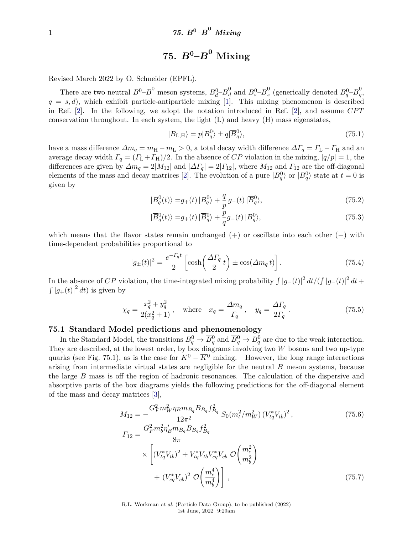# $75.$   $B^0\text{--}\overline{B}^0\text{ Mixing}$

Revised March 2022 by O. Schneider (EPFL).

There are two neutral  $B^0$ – $\overline{B}^0$  meson systems,  $B_d^0$ – $\overline{B}_d^0$  and  $B_s^0$ – $\overline{B}_s^0$  $^0_s$  (generically denoted  $B_q^0\text{--}\overline{B}_q^0$ *q* ,  $q = s, d$ , which exhibit particle-antiparticle mixing [\[1\]](#page-10-0). This mixing phenomenon is described in Ref. [\[2\]](#page-10-1). In the following, we adopt the notation introduced in Ref. [\[2\]](#page-10-1), and assume *CP T* conservation throughout. In each system, the light  $(L)$  and heavy  $(H)$  mass eigenstates,

$$
|B_{\text{L,H}}\rangle = p|B_q^0\rangle \pm q|\overline{B}_q^0\rangle,\tag{75.1}
$$

have a mass difference  $\Delta m_q = m_H - m_L > 0$ , a total decay width difference  $\Delta T_q = \Gamma_L - \Gamma_H$  and an average decay width  $\Gamma_q = (\Gamma_L + \Gamma_H)/2$ . In the absence of *CP* violation in the mixing,  $|q/p| = 1$ , the differences are given by  $\Delta m_q = 2|M_{12}|$  and  $|\Delta T_q| = 2|T_{12}|$ , where  $M_{12}$  and  $T_{12}$  are the off-diagonal elements of the mass and decay matrices [\[2\]](#page-10-1). The evolution of a pure  $|B_q^0\rangle$  or  $|\overline{B_q^0}\rangle$  state at  $t=0$  is given by

$$
|B_q^0(t)\rangle = g_+(t) |B_q^0\rangle + \frac{q}{p} g_-(t) | \overline{B}_q^0\rangle, \tag{75.2}
$$

$$
|\overline{B}_q^0(t)\rangle = g_+(t) |\overline{B}_q^0\rangle + \frac{p}{q} g_-(t) |B_q^0\rangle, \tag{75.3}
$$

which means that the flavor states remain unchanged  $(+)$  or oscillate into each other  $(-)$  with time-dependent probabilities proportional to

$$
|g_{\pm}(t)|^2 = \frac{e^{-\Gamma_q t}}{2} \left[ \cosh\left(\frac{\Delta \Gamma_q}{2} t\right) \pm \cos(\Delta m_q t) \right]. \tag{75.4}
$$

In the absence of *CP* violation, the time-integrated mixing probability  $\int |g_-(t)|^2 dt /(\int |g_-(t)|^2 dt +$  $\int |g_+(t)|^2 dt$  is given by

$$
\chi_q = \frac{x_q^2 + y_q^2}{2(x_q^2 + 1)},
$$
 where  $x_q = \frac{\Delta m_q}{\Gamma_q},$   $y_q = \frac{\Delta \Gamma_q}{2\Gamma_q}.$  (75.5)

#### **75.1 Standard Model predictions and phenomenology**

In the Standard Model, the transitions  $B_q^0 \to \overline{B}_q^0$  and  $\overline{B}_q^0 \to B_q^0$  are due to the weak interaction. They are described, at the lowest order, by box diagrams involving two *W* bosons and two up-type quarks (see Fig. 75.1), as is the case for  $K^0 - \overline{K}{}^0$  mixing. However, the long range interactions arising from intermediate virtual states are negligible for the neutral *B* meson systems, because the large *B* mass is off the region of hadronic resonances. The calculation of the dispersive and absorptive parts of the box diagrams yields the following predictions for the off-diagonal element of the mass and decay matrices [\[3\]](#page-10-2),

$$
M_{12} = -\frac{G_F^2 m_W^2 \eta_B m_{B_q} B_{B_q} f_{B_q}^2}{12\pi^2} S_0(m_t^2 / m_W^2) (V_{tq}^* V_{tb})^2,
$$
\n
$$
T_{12} = \frac{G_F^2 m_b^2 \eta_B' m_{B_q} B_{B_q} f_{B_q}^2}{8\pi}
$$
\n
$$
\times \left[ (V_{tq}^* V_{tb})^2 + V_{tq}^* V_{tb} V_{cq}^* V_{cb} \mathcal{O}\left(\frac{m_c^2}{m_b^2}\right) + (V_{cq}^* V_{cb})^2 \mathcal{O}\left(\frac{m_c^4}{m_b^4}\right) \right],
$$
\n(75.7)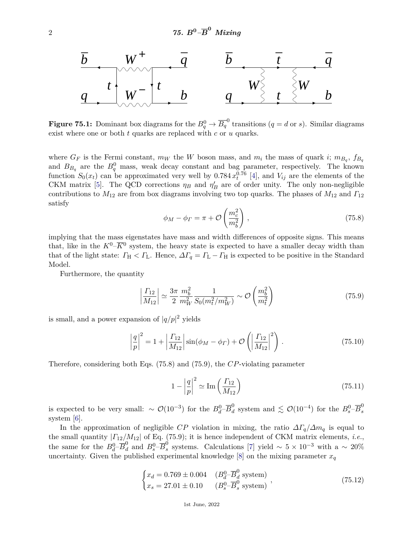

**Figure 75.1:** Dominant box diagrams for the  $B^0_q \rightarrow \overline{B_q}^0$  transitions  $(q = d \text{ or } s)$ . Similar diagrams exist where one or both *t* quarks are replaced with *c* or *u* quarks.

where  $G_F$  is the Fermi constant,  $m_W$  the *W* boson mass, and  $m_i$  the mass of quark *i*;  $m_{B_q}$ ,  $f_{B_q}$ and  $B_{B_q}$  are the  $B_q^0$  mass, weak decay constant and bag parameter, respectively. The known function  $S_0(x_t)$  can be approximated very well by 0.784  $x_t^{0.76}$  [\[4\]](#page-10-3), and  $V_{ij}$  are the elements of the CKM matrix [\[5\]](#page-10-4). The QCD corrections  $\eta_B$  and  $\eta'_B$  are of order unity. The only non-negligible contributions to *M*<sup>12</sup> are from box diagrams involving two top quarks. The phases of *M*<sup>12</sup> and *Γ*<sup>12</sup> satisfy

$$
\phi_M - \phi_\Gamma = \pi + \mathcal{O}\left(\frac{m_c^2}{m_b^2}\right),\tag{75.8}
$$

implying that the mass eigenstates have mass and width differences of opposite signs. This means that, like in the  $K^0$ – $\overline{K}$ <sup>0</sup> system, the heavy state is expected to have a smaller decay width than that of the light state:  $\Gamma_H < \Gamma_L$ . Hence,  $\Delta \Gamma_q = \Gamma_L - \Gamma_H$  is expected to be positive in the Standard Model.

Furthermore, the quantity

$$
\left|\frac{\Gamma_{12}}{M_{12}}\right| \simeq \frac{3\pi}{2} \frac{m_b^2}{m_W^2} \frac{1}{S_0(m_t^2/m_W^2)} \sim \mathcal{O}\left(\frac{m_b^2}{m_t^2}\right)
$$
\n(75.9)

is small, and a power expansion of  $|q/p|^2$  yields

$$
\left|\frac{q}{p}\right|^2 = 1 + \left|\frac{\Gamma_{12}}{M_{12}}\right| \sin(\phi_M - \phi_\Gamma) + \mathcal{O}\left(\left|\frac{\Gamma_{12}}{M_{12}}\right|^2\right). \tag{75.10}
$$

Therefore, considering both Eqs. (75.8) and (75.9), the *CP*-violating parameter

$$
1 - \left|\frac{q}{p}\right|^2 \simeq \text{Im}\left(\frac{\Gamma_{12}}{M_{12}}\right) \tag{75.11}
$$

is expected to be very small:  $\sim \mathcal{O}(10^{-3})$  for the  $B_d^0$ <sup>- $\overline{B}_d^0$ </sup>  $\frac{0}{d}$  system and  $\leq \mathcal{O}(10^{-4})$  for the  $B_s^0$ − $\overline{B}_s^0$ *s* system [\[6\]](#page-10-5).

In the approximation of negligible *CP* violation in mixing, the ratio  $\Delta\Gamma_q/\Delta m_q$  is equal to the small quantity |*Γ*12*/M*12| of Eq. (75.9); it is hence independent of CKM matrix elements, *i.e.*, the same for the  $B_d^0$ – $\overline{B}_d^0$  and  $B_s^0$ – $\overline{B}_s^0$ s systems. Calculations [\[7\]](#page-10-6) yield  $\sim 5 \times 10^{-3}$  with a  $\sim 20\%$ uncertainty. Given the published experimental knowledge  $[8]$  on the mixing parameter  $x_q$ 

$$
\begin{cases}\nx_d = 0.769 \pm 0.004 & (B_d^0 - \overline{B}_d^0 \text{ system}) \\
x_s = 27.01 \pm 0.10 & (B_s^0 - \overline{B}_s^0 \text{ system})\n\end{cases}
$$
\n(75.12)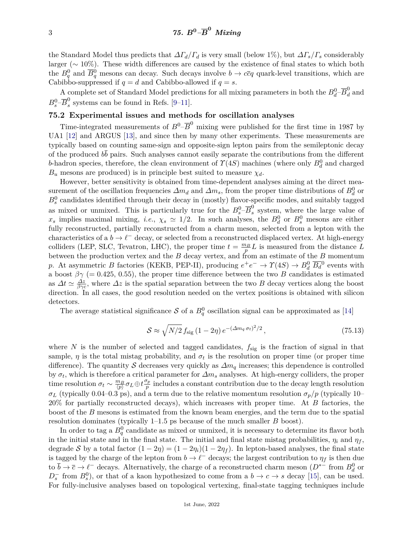the Standard Model thus predicts that  $\Delta \Gamma_d / \Gamma_d$  is very small (below 1%), but  $\Delta \Gamma_s / \Gamma_s$  considerably larger (∼ 10%). These width differences are caused by the existence of final states to which both the  $B_q^0$  and  $\overline{B_q^0}$  mesons can decay. Such decays involve  $b \to c\overline{c}q$  quark-level transitions, which are Cabibbo-suppressed if  $q = d$  and Cabibbo-allowed if  $q = s$ .

A complete set of Standard Model predictions for all mixing parameters in both the  $B_d^0$ – $\overline{B}_d^0$  and  $B_s^0$ – $\overline{B}_s^0$  $s<sub>s</sub>$  systems can be found in Refs. [\[9–](#page-10-8)[11\]](#page-10-9).

# **75.2 Experimental issues and methods for oscillation analyses**

Time-integrated measurements of  $B^0$ - $\overline{B}^0$  mixing were published for the first time in 1987 by UA1 [\[12\]](#page-10-10) and ARGUS [\[13\]](#page-10-11), and since then by many other experiments. These measurements are typically based on counting same-sign and opposite-sign lepton pairs from the semileptonic decay of the produced  $b\bar{b}$  pairs. Such analyses cannot easily separate the contributions from the different *b*-hadron species, therefore, the clean environment of  $\Upsilon(4S)$  machines (where only  $B_d^0$  and charged  $B_u$  mesons are produced) is in principle best suited to measure  $\chi_d$ .

However, better sensitivity is obtained from time-dependent analyses aiming at the direct measurement of the oscillation frequencies  $\Delta m_d$  and  $\Delta m_s$ , from the proper time distributions of  $B_d^0$  or  $B_s^0$  candidates identified through their decay in (mostly) flavor-specific modes, and suitably tagged as mixed or unmixed. This is particularly true for the  $B_s^0$ - $\overline{B}_s^0$  $s<sub>s</sub>$  system, where the large value of *x*<sub>*s*</sub> implies maximal mixing, *i.e.*,  $\chi_s \simeq 1/2$ . In such analyses, the  $B_d^0$  or  $B_s^0$  mesons are either fully reconstructed, partially reconstructed from a charm meson, selected from a lepton with the characteristics of a  $b \to \ell^-$  decay, or selected from a reconstructed displaced vertex. At high-energy colliders (LEP, SLC, Tevatron, LHC), the proper time  $t = \frac{m_B}{p} L$  is measured from the distance *L* between the production vertex and the *B* decay vertex, and from an estimate of the *B* momentum *p*. At asymmetric *B* factories (KEKB, PEP-II), producing  $e^+e^- \to \Upsilon(4S) \to B_d^0 \overline{B_d}^0$  events with a boost  $\beta\gamma$  (= 0.425, 0.55), the proper time difference between the two *B* candidates is estimated as  $\Delta t \simeq \frac{\Delta z}{\beta \gamma c}$ , where  $\Delta z$  is the spatial separation between the two *B* decay vertices along the boost direction. In all cases, the good resolution needed on the vertex positions is obtained with silicon detectors.

The average statistical significance S of a  $B_q^0$  oscillation signal can be approximated as [\[14\]](#page-10-12)

$$
S \approx \sqrt{N/2} f_{\text{sig}} \left(1 - 2\eta\right) e^{-\left(\Delta m_q \sigma_t\right)^2/2},\tag{75.13}
$$

where *N* is the number of selected and tagged candidates,  $f_{\text{sig}}$  is the fraction of signal in that sample,  $\eta$  is the total mistag probability, and  $\sigma_t$  is the resolution on proper time (or proper time difference). The quantity S decreases very quickly as *∆m<sup>q</sup>* increases; this dependence is controlled by  $\sigma_t$ , which is therefore a critical parameter for  $\Delta m_s$  analyses. At high-energy colliders, the proper time resolution  $\sigma_t \sim \frac{m_B}{\langle p \rangle} \sigma_L \oplus t \frac{\sigma_p}{p}$  $\frac{p_p}{p}$  includes a constant contribution due to the decay length resolution  $\sigma$ *L* (typically 0.04–0.3 ps), and a term due to the relative momentum resolution  $\sigma$ <sup>*p*</sup>/*p* (typically 10– 20% for partially reconstructed decays), which increases with proper time. At *B* factories, the boost of the *B* mesons is estimated from the known beam energies, and the term due to the spatial resolution dominates (typically 1–1.5 ps because of the much smaller *B* boost).

In order to tag a  $B_q^0$  candidate as mixed or unmixed, it is necessary to determine its flavor both in the initial state and in the final state. The initial and final state mistag probabilities,  $\eta_i$  and  $\eta_f$ , degrade S by a total factor  $(1 - 2\eta) = (1 - 2\eta_i)(1 - 2\eta_f)$ . In lepton-based analyses, the final state is tagged by the charge of the lepton from  $b \to \ell^-$  decays; the largest contribution to  $\eta_f$  is then due to  $\bar{b} \to \bar{c} \to \ell^-$  decays. Alternatively, the charge of a reconstructed charm meson  $(D^{*+}$  from  $B_d^0$  or  $D_s^-$  from  $B_s^0$ ), or that of a kaon hypothesized to come from a  $b \to c \to s$  decay [\[15\]](#page-10-13), can be used. For fully-inclusive analyses based on topological vertexing, final-state tagging techniques include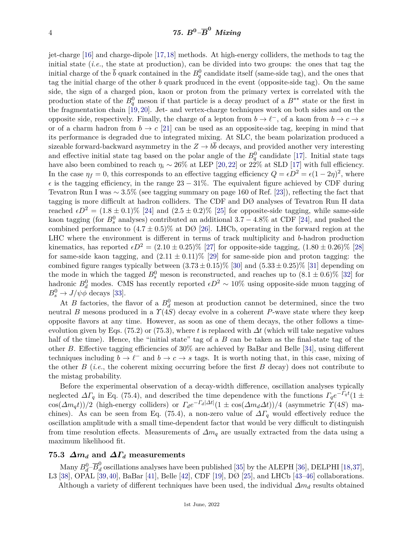jet-charge [\[16\]](#page-10-14) and charge-dipole [\[17,](#page-10-15)[18\]](#page-10-16) methods. At high-energy colliders, the methods to tag the initial state (*i.e.*, the state at production), can be divided into two groups: the ones that tag the initial charge of the  $\bar{b}$  quark contained in the  $B_q^0$  candidate itself (same-side tag), and the ones that tag the initial charge of the other *b* quark produced in the event (opposite-side tag). On the same side, the sign of a charged pion, kaon or proton from the primary vertex is correlated with the production state of the  $B_q^0$  meson if that particle is a decay product of a  $B^{**}$  state or the first in the fragmentation chain [\[19,](#page-11-0) [20\]](#page-11-1). Jet- and vertex-charge techniques work on both sides and on the opposite side, respectively. Finally, the charge of a lepton from  $b \to \ell^-$ , of a kaon from  $b \to c \to s$ or of a charm hadron from  $b \to c$  [\[21\]](#page-11-2) can be used as an opposite-side tag, keeping in mind that its performance is degraded due to integrated mixing. At SLC, the beam polarization produced a sizeable forward-backward asymmetry in the  $Z \to b\bar{b}$  decays, and provided another very interesting and effective initial state tag based on the polar angle of the  $B_q^0$  candidate [\[17\]](#page-10-15). Initial state tags have also been combined to reach  $\eta_i \sim 26\%$  at LEP [\[20,](#page-11-1)[22\]](#page-11-3) or  $2\frac{3}{2}\%$  at SLD [\[17\]](#page-10-15) with full efficiency. In the case  $\eta_f = 0$ , this corresponds to an effective tagging efficiency  $Q = \epsilon D^2 = \epsilon (1 - 2\eta)^2$ , where  $\epsilon$  is the tagging efficiency, in the range 23 – 31%. The equivalent figure achieved by CDF during Tevatron Run I was ∼ 3*.*5% (see tagging summary on page 160 of Ref. [\[23\]](#page-11-4)), reflecting the fact that tagging is more difficult at hadron colliders. The CDF and DØ analyses of Tevatron Run II data reached  $\epsilon D^2 = (1.8 \pm 0.1)\%$  [\[24\]](#page-11-5) and  $(2.5 \pm 0.2)\%$  [\[25\]](#page-11-6) for opposite-side tagging, while same-side kaon tagging (for  $B_s^0$  analyses) contributed an additional  $3.7 - 4.8\%$  at CDF [\[24\]](#page-11-5), and pushed the combined performance to  $(4.7 \pm 0.5)\%$  at DØ [\[26\]](#page-11-7). LHCb, operating in the forward region at the LHC where the environment is different in terms of track multiplicity and *b*-hadron production kinematics, has reported  $\epsilon D^2 = (2.10 \pm 0.25)\%$  [\[27\]](#page-11-8) for opposite-side tagging,  $(1.80 \pm 0.26)\%$  [\[28\]](#page-11-9) for same-side kaon tagging, and  $(2.11 \pm 0.11)\%$  [\[29\]](#page-11-10) for same-side pion and proton tagging: the combined figure ranges typically between  $(3.73 \pm 0.15)\%$  [\[30\]](#page-11-11) and  $(5.33 \pm 0.25)\%$  [\[31\]](#page-11-12) depending on the mode in which the tagged  $B_s^0$  meson is reconstructed, and reaches up to  $(8.1 \pm 0.6)\%$  [\[32\]](#page-11-13) for hadronic  $B_d^0$  modes. CMS has recently reported  $\epsilon D^2 \sim 10\%$  using opposite-side muon tagging of  $B_s^0 \to J/\psi \phi$  decays [\[33\]](#page-11-14).

At *B* factories, the flavor of a  $B_d^0$  meson at production cannot be determined, since the two neutral *B* mesons produced in a *Υ*(4*S*) decay evolve in a coherent *P*-wave state where they keep opposite flavors at any time. However, as soon as one of them decays, the other follows a timeevolution given by Eqs. (75.2) or (75.3), where *t* is replaced with  $\Delta t$  (which will take negative values half of the time). Hence, the "initial state" tag of a *B* can be taken as the final-state tag of the other *B*. Effective tagging efficiencies of 30% are achieved by BaBar and Belle [\[34\]](#page-11-15), using different techniques including  $b \to \ell^-$  and  $b \to c \to s$  tags. It is worth noting that, in this case, mixing of the other *B* (*i.e.*, the coherent mixing occurring before the first *B* decay) does not contribute to the mistag probability.

Before the experimental observation of a decay-width difference, oscillation analyses typically neglected  $\Delta\Gamma_q$  in Eq. (75.4), and described the time dependence with the functions  $\Gamma_q e^{-\Gamma_q t} (1 \pm$  $\cos(\Delta m_q t)/2$  (high-energy colliders) or  $\Gamma_d e^{-\Gamma_d |\Delta t|} (1 \pm \cos(\Delta m_d \Delta t))/4$  (asymmetric  $\Upsilon(4S)$  machines). As can be seen from Eq. (75.4), a non-zero value of  $\Delta\Gamma_q$  would effectively reduce the oscillation amplitude with a small time-dependent factor that would be very difficult to distinguish from time resolution effects. Measurements of *∆m<sup>q</sup>* are usually extracted from the data using a maximum likelihood fit.

## **75.3**  $\Delta m_d$  and  $\Delta T_d$  measurements

Many  $B_d^0$ – $\overline{B}_d^0$  oscillations analyses have been published [\[35\]](#page-11-16) by the ALEPH [\[36\]](#page-11-17), DELPHI [\[18,](#page-10-16)[37\]](#page-11-18), L3 [\[38\]](#page-11-19), OPAL [\[39,](#page-11-20)[40\]](#page-11-21), BaBar [\[41\]](#page-11-22), Belle [\[42\]](#page-11-23), CDF [\[19\]](#page-11-0), DØ [\[25\]](#page-11-6), and LHCb [\[43–](#page-11-24)[46\]](#page-12-0) collaborations. Although a variety of different techniques have been used, the individual *∆m<sup>d</sup>* results obtained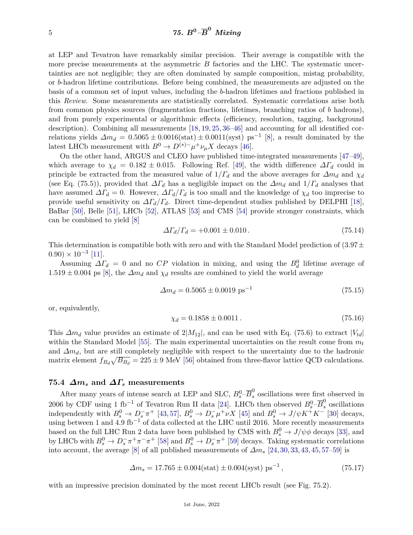at LEP and Tevatron have remarkably similar precision. Their average is compatible with the more precise measurements at the asymmetric *B* factories and the LHC. The systematic uncertainties are not negligible; they are often dominated by sample composition, mistag probability, or *b*-hadron lifetime contributions. Before being combined, the measurements are adjusted on the basis of a common set of input values, including the *b*-hadron lifetimes and fractions published in this *Review*. Some measurements are statistically correlated. Systematic correlations arise both from common physics sources (fragmentation fractions, lifetimes, branching ratios of *b* hadrons), and from purely experimental or algorithmic effects (efficiency, resolution, tagging, background description). Combining all measurements [\[18,](#page-10-16) [19,](#page-11-0) [25,](#page-11-6) [36–](#page-11-17)[46\]](#page-12-0) and accounting for all identified correlations yields  $\Delta m_d = 0.5065 \pm 0.0016(\text{stat}) \pm 0.0011(\text{syst})$  ps<sup>-1</sup> [\[8\]](#page-10-7), a result dominated by the latest LHCb measurement with  $B^0 \to D^{(*)-} \mu^+ \nu_{\mu} X$  decays [\[46\]](#page-12-0).

On the other hand, ARGUS and CLEO have published time-integrated measurements [\[47–](#page-12-1)[49\]](#page-12-2), which average to  $\chi_d = 0.182 \pm 0.015$ . Following Ref. [\[49\]](#page-12-2), the width difference  $\Delta \Gamma_d$  could in principle be extracted from the measured value of  $1/\Gamma_d$  and the above averages for  $\Delta m_d$  and  $\chi_d$ (see Eq. (75.5)), provided that  $\Delta \Gamma_d$  has a negligible impact on the  $\Delta m_d$  and  $1/\Gamma_d$  analyses that have assumed  $\Delta\Gamma_d = 0$ . However,  $\Delta\Gamma_d/\Gamma_d$  is too small and the knowledge of  $\chi_d$  too imprecise to provide useful sensitivity on  $\Delta \Gamma_d / \Gamma_d$ . Direct time-dependent studies published by DELPHI [\[18\]](#page-10-16), BaBar [\[50\]](#page-12-3), Belle [\[51\]](#page-12-4), LHCb [\[52\]](#page-12-5), ATLAS [\[53\]](#page-12-6) and CMS [\[54\]](#page-12-7) provide stronger constraints, which can be combined to yield [\[8\]](#page-10-7)

$$
\Delta\Gamma_d/\Gamma_d = +0.001 \pm 0.010\,. \tag{75.14}
$$

This determination is compatible both with zero and with the Standard Model prediction of  $(3.97\pm$  $(0.90) \times 10^{-3}$  [\[11\]](#page-10-9).

Assuming  $\Delta\Gamma_d = 0$  and no  $CP$  violation in mixing, and using the  $B_d^0$  lifetime average of  $1.519 \pm 0.004$  ps [\[8\]](#page-10-7), the  $\Delta m_d$  and  $\chi_d$  results are combined to yield the world average

$$
\Delta m_d = 0.5065 \pm 0.0019 \text{ ps}^{-1} \tag{75.15}
$$

or, equivalently,

$$
\chi_d = 0.1858 \pm 0.0011. \tag{75.16}
$$

This  $\Delta m_d$  value provides an estimate of  $2|M_{12}|$ , and can be used with Eq. (75.6) to extract  $|V_{td}|$ within the Standard Model [\[55\]](#page-12-8). The main experimental uncertainties on the result come from *m<sup>t</sup>* and *∆md*, but are still completely negligible with respect to the uncertainty due to the hadronic matrix element  $f_{B_d}\sqrt{B_{B_d}} = 225 \pm 9$  MeV [\[56\]](#page-12-9) obtained from three-flavor lattice QCD calculations.

# **75.4** *∆m<sup>s</sup>* **and** *∆Γ<sup>s</sup>* **measurements**

After many years of intense search at LEP and SLC,  $B_s^0$ - $\overline{B}_s^0$  oscillations were first observed in 2006 by CDF using 1 fb<sup>-1</sup> of Tevatron Run II data [\[24\]](#page-11-5). LHCb then observed  $B_s^0$ - $\overline{B}_s^0$  oscillations independently with  $B_s^0 \to D_s^- \pi^+$  [\[43,](#page-11-24)[57\]](#page-12-10),  $B_s^0 \to D_s^- \mu^+ \nu X$  [\[45\]](#page-11-25) and  $B_s^0 \to J/\psi K^+ K^-$  [\[30\]](#page-11-11) decays, using between 1 and 4*.*9 fb−<sup>1</sup> of data collected at the LHC until 2016. More recently measurements based on the full LHC Run 2 data have been published by CMS with  $B_s^0 \to J/\psi \phi$  decays [\[33\]](#page-11-14), and by LHCb with  $B_s^0 \to D_s^- \pi^+ \pi^- \pi^+$  [\[58\]](#page-12-11) and  $B_s^0 \to D_s^- \pi^+$  [\[59\]](#page-12-12) decays. Taking systematic correlations into account, the average [\[8\]](#page-10-7) of all published measurements of  $\Delta m_s$  [\[24,](#page-11-5) [30,](#page-11-11) [33,](#page-11-14) [43,](#page-11-24) [45,](#page-11-25) [57](#page-12-10)[–59\]](#page-12-12) is

$$
\Delta m_s = 17.765 \pm 0.004 \text{(stat)} \pm 0.004 \text{(syst)} \text{ ps}^{-1},\tag{75.17}
$$

with an impressive precision dominated by the most recent LHCb result (see Fig. 75.2).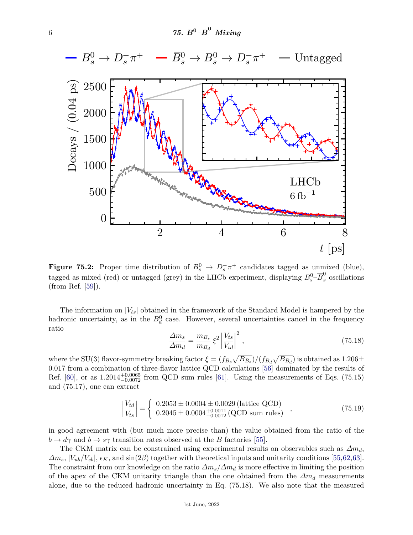

**Figure 75.2:** Proper time distribution of  $B_s^0 \to D_s^- \pi^+$  candidates tagged as unmixed (blue), tagged as mixed (red) or untagged (grey) in the LHCb experiment, displaying  $B_s^0$ - $\overline{B}_s^0$  oscillations (from Ref. [\[59\]](#page-12-12)).

The information on |*Vts*| obtained in the framework of the Standard Model is hampered by the hadronic uncertainty, as in the  $B_d^0$  case. However, several uncertainties cancel in the frequency ratio

$$
\frac{\Delta m_s}{\Delta m_d} = \frac{m_{Bs}}{m_{Ba}} \xi^2 \left| \frac{V_{ts}}{V_{td}} \right|^2, \qquad (75.18)
$$

where the SU(3) flavor-symmetry breaking factor  $\xi = (f_{B_s}\sqrt{B_{B_s}})/(f_{B_d}\sqrt{B_{B_d}})$  is obtained as 1.206 $\pm$ 0*.*017 from a combination of three-flavor lattice QCD calculations [\[56\]](#page-12-9) dominated by the results of Ref.  $[60]$ , or as  $1.2014_{-0.0072}^{+0.0065}$  from QCD sum rules  $[61]$ . Using the measurements of Eqs. (75.15) and (75.17), one can extract

$$
\left|\frac{V_{td}}{V_{ts}}\right| = \begin{cases} 0.2053 \pm 0.0004 \pm 0.0029 \text{ (lattice QCD)}\\ 0.2045 \pm 0.0004_{-0.0012}^{+0.0011} \text{ (QCD sum rules)} \end{cases},\tag{75.19}
$$

in good agreement with (but much more precise than) the value obtained from the ratio of the  $b \rightarrow d\gamma$  and  $b \rightarrow s\gamma$  transition rates observed at the *B* factories [\[55\]](#page-12-8).

The CKM matrix can be constrained using experimental results on observables such as *∆md*,  $\Delta m_s$ ,  $|V_{ub}/V_{cb}|$ ,  $\epsilon_K$ , and  $\sin(2\beta)$  together with theoretical inputs and unitarity conditions [\[55,](#page-12-8)[62,](#page-12-15)[63\]](#page-12-16). The constraint from our knowledge on the ratio *∆ms/∆m<sup>d</sup>* is more effective in limiting the position of the apex of the CKM unitarity triangle than the one obtained from the *∆m<sup>d</sup>* measurements alone, due to the reduced hadronic uncertainty in Eq. (75.18). We also note that the measured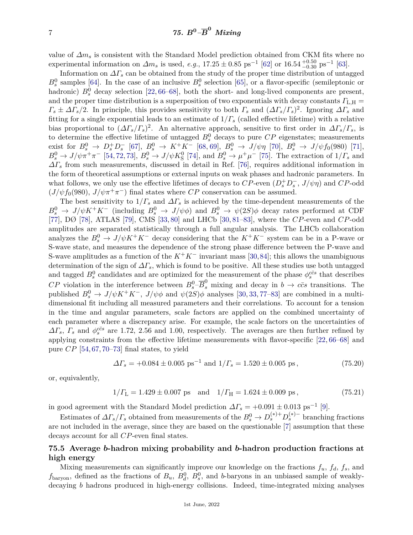value of *∆m<sup>s</sup>* is consistent with the Standard Model prediction obtained from CKM fits where no experimental information on  $\Delta m_s$  is used, *e.g.*, 17.25  $\pm$  0.85 ps<sup>-1</sup> [\[62\]](#page-12-15) or 16.54  $^{+0.50}_{-0.30}$  ps<sup>-1</sup> [\[63\]](#page-12-16).

Information on  $\Delta\Gamma_s$  can be obtained from the study of the proper time distribution of untagged  $B_s^0$  samples [\[64\]](#page-12-17). In the case of an inclusive  $B_s^0$  selection [\[65\]](#page-12-18), or a flavor-specific (semileptonic or hadronic)  $B_s^0$  decay selection [\[22,](#page-11-3) [66](#page-12-19)[–68\]](#page-12-20), both the short- and long-lived components are present, and the proper time distribution is a superposition of two exponentials with decay constants *Γ*L*,*<sup>H</sup> =  $\Gamma_s \pm \Delta \Gamma_s/2$ . In principle, this provides sensitivity to both  $\Gamma_s$  and  $(\Delta \Gamma_s/\Gamma_s)^2$ . Ignoring  $\Delta \Gamma_s$  and fitting for a single exponential leads to an estimate of 1*/Γ<sup>s</sup>* (called effective lifetime) with a relative bias proportional to  $(\Delta \Gamma_s/\Gamma_s)^2$ . An alternative approach, sensitive to first order in  $\Delta \Gamma_s/\Gamma_s$ , is to determine the effective lifetime of untagged  $B_s^0$  decays to pure  $\mathbb{CP}$  eigenstates; measurements  $\text{exist for } B_s^0 \to D_s^+ D_s^- \text{ [67]}, B_s^0 \to K^+ K^- \text{ [68, 69]}, B_s^0 \to J/\psi \eta \text{ [70]}, B_s^0 \to J/\psi f_0(980) \text{ [71]},$  $\text{exist for } B_s^0 \to D_s^+ D_s^- \text{ [67]}, B_s^0 \to K^+ K^- \text{ [68, 69]}, B_s^0 \to J/\psi \eta \text{ [70]}, B_s^0 \to J/\psi f_0(980) \text{ [71]},$  $\text{exist for } B_s^0 \to D_s^+ D_s^- \text{ [67]}, B_s^0 \to K^+ K^- \text{ [68, 69]}, B_s^0 \to J/\psi \eta \text{ [70]}, B_s^0 \to J/\psi f_0(980) \text{ [71]},$  $\text{exist for } B_s^0 \to D_s^+ D_s^- \text{ [67]}, B_s^0 \to K^+ K^- \text{ [68, 69]}, B_s^0 \to J/\psi \eta \text{ [70]}, B_s^0 \to J/\psi f_0(980) \text{ [71]},$  $\text{exist for } B_s^0 \to D_s^+ D_s^- \text{ [67]}, B_s^0 \to K^+ K^- \text{ [68, 69]}, B_s^0 \to J/\psi \eta \text{ [70]}, B_s^0 \to J/\psi f_0(980) \text{ [71]},$  $\text{exist for } B_s^0 \to D_s^+ D_s^- \text{ [67]}, B_s^0 \to K^+ K^- \text{ [68, 69]}, B_s^0 \to J/\psi \eta \text{ [70]}, B_s^0 \to J/\psi f_0(980) \text{ [71]},$  $\text{exist for } B_s^0 \to D_s^+ D_s^- \text{ [67]}, B_s^0 \to K^+ K^- \text{ [68, 69]}, B_s^0 \to J/\psi \eta \text{ [70]}, B_s^0 \to J/\psi f_0(980) \text{ [71]},$  $\text{exist for } B_s^0 \to D_s^+ D_s^- \text{ [67]}, B_s^0 \to K^+ K^- \text{ [68, 69]}, B_s^0 \to J/\psi \eta \text{ [70]}, B_s^0 \to J/\psi f_0(980) \text{ [71]},$  $\text{exist for } B_s^0 \to D_s^+ D_s^- \text{ [67]}, B_s^0 \to K^+ K^- \text{ [68, 69]}, B_s^0 \to J/\psi \eta \text{ [70]}, B_s^0 \to J/\psi f_0(980) \text{ [71]},$  $\text{exist for } B_s^0 \to D_s^+ D_s^- \text{ [67]}, B_s^0 \to K^+ K^- \text{ [68, 69]}, B_s^0 \to J/\psi \eta \text{ [70]}, B_s^0 \to J/\psi f_0(980) \text{ [71]},$  $\text{exist for } B_s^0 \to D_s^+ D_s^- \text{ [67]}, B_s^0 \to K^+ K^- \text{ [68, 69]}, B_s^0 \to J/\psi \eta \text{ [70]}, B_s^0 \to J/\psi f_0(980) \text{ [71]},$  $B_s^0 \to J/\psi \pi^+ \pi^-$  [\[54,](#page-12-7) [72,](#page-12-25) [73\]](#page-12-26),  $B_s^0 \to J/\psi K_S^0$  [\[74\]](#page-13-0), and  $B_s^0 \to \mu^+ \mu^-$  [\[75\]](#page-13-1). The extraction of  $1/\Gamma_s$  and *∆Γ<sup>s</sup>* from such measurements, discussed in detail in Ref. [\[76\]](#page-13-2), requires additional information in the form of theoretical assumptions or external inputs on weak phases and hadronic parameters. In what follows, we only use the effective lifetimes of decays to  $CP$ -even  $(D_s^+ D_s^-, J/\psi \eta)$  and  $CP$ -odd  $(J/\psi f_0(980), J/\psi \pi^+ \pi^-)$  final states where *CP* conservation can be assumed.

The best sensitivity to  $1/\Gamma_s$  and  $\Delta\Gamma_s$  is achieved by the time-dependent measurements of the  $B_s^0 \to J/\psi K^+ K^-$  (including  $B_s^0 \to J/\psi \phi$ ) and  $B_s^0 \to \psi(2S)\phi$  decay rates performed at CDF [\[77\]](#page-13-3), DØ [\[78\]](#page-13-4), ATLAS [\[79\]](#page-13-5), CMS [\[33,](#page-11-14) [80\]](#page-13-6) and LHCb [\[30,](#page-11-11) [81](#page-13-7)[–83\]](#page-13-8), where the *CP*-even and *CP*-odd amplitudes are separated statistically through a full angular analysis. The LHCb collaboration analyzes the  $B_s^0 \to J/\psi K^+ K^-$  decay considering that the  $K^+ K^-$  system can be in a P-wave or S-wave state, and measures the dependence of the strong phase difference between the P-wave and S-wave amplitudes as a function of the  $K^+K^-$  invariant mass [\[30,](#page-11-11)[84\]](#page-13-9); this allows the unambiguous determination of the sign of  $\Delta\Gamma_s$ , which is found to be positive. All these studies use both untagged and tagged  $B_s^0$  candidates and are optimized for the measurement of the phase  $\phi_s^{c\bar{c}s}$  that describes *CP* violation in the interference between  $B_s^0$ - $\overline{B}_s^0$  mixing and decay in  $b \to c\overline{c}s$  transitions. The published  $B_s^0 \to J/\psi K^+K^-$ ,  $J/\psi\phi$  and  $\psi(2S)\phi$  analyses [\[30,](#page-11-11) [33,](#page-11-14) [77–](#page-13-3)[83\]](#page-13-8) are combined in a multidimensional fit including all measured parameters and their correlations. To account for a tension in the time and angular parameters, scale factors are applied on the combined uncertainty of each parameter where a discrepancy arise. For example, the scale factors on the uncertainties of  $\Delta\Gamma_s$ ,  $\Gamma_s$  and  $\phi_s^{c\bar{c}s}$  are 1.72, 2.56 and 1.00, respectively. The averages are then further refined by applying constraints from the effective lifetime measurements with flavor-specific [\[22,](#page-11-3) [66–](#page-12-19)[68\]](#page-12-20) and pure *CP* [\[54,](#page-12-7) [67,](#page-12-21) [70–](#page-12-23)[73\]](#page-12-26) final states, to yield

$$
\Delta\Gamma_s = +0.084 \pm 0.005 \text{ ps}^{-1} \text{ and } 1/\Gamma_s = 1.520 \pm 0.005 \text{ ps},\tag{75.20}
$$

or, equivalently,

$$
1/\Gamma_{\text{L}} = 1.429 \pm 0.007 \text{ ps} \text{ and } 1/\Gamma_{\text{H}} = 1.624 \pm 0.009 \text{ ps},
$$
 (75.21)

in good agreement with the Standard Model prediction  $\Delta\Gamma_s = +0.091 \pm 0.013$  ps<sup>-1</sup> [\[9\]](#page-10-8).

Estimates of  $\Delta\Gamma_s/\Gamma_s$  obtained from measurements of the  $B_s^0 \to D_s^{(*)+} D_s^{(*)-}$  branching fractions are not included in the average, since they are based on the questionable [\[7\]](#page-10-6) assumption that these decays account for all *CP*-even final states.

## **75.5 Average** *b***-hadron mixing probability and** *b***-hadron production fractions at high energy**

Mixing measurements can significantly improve our knowledge on the fractions  $f_u$ ,  $f_d$ ,  $f_s$ , and  $f_{\text{baryon}}$ , defined as the fractions of  $B_u$ ,  $B_d^0$ ,  $B_s^0$ , and *b*-baryons in an unbiased sample of weaklydecaying *b* hadrons produced in high-energy collisions. Indeed, time-integrated mixing analyses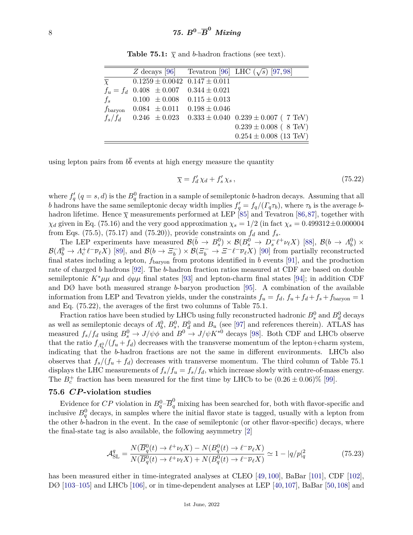|                   |                   | Z decays [96] Tevatron [96] LHC $(\sqrt{s})$ [97,98]          |                            |
|-------------------|-------------------|---------------------------------------------------------------|----------------------------|
| $\overline{\chi}$ |                   | $0.1259 \pm 0.0042$ $0.147 \pm 0.011$                         |                            |
|                   |                   | $f_u = f_d$ 0.408 $\pm$ 0.007 0.344 $\pm$ 0.021               |                            |
| $f_s$             |                   | $0.100 \pm 0.008 \quad 0.115 \pm 0.013$                       |                            |
| $f_{\rm baryon}$  | $0.084 \pm 0.011$ | $0.198 \pm 0.046$                                             |                            |
| $f_s/f_d$         |                   | $0.246 \pm 0.023$ $0.333 \pm 0.040$ $0.239 \pm 0.007$ (7 TeV) |                            |
|                   |                   |                                                               | $0.239 \pm 0.008$ (8 TeV)  |
|                   |                   |                                                               | $0.254 \pm 0.008$ (13 TeV) |

**Table 75.1:**  $\overline{\chi}$  and *b*-hadron fractions (see text).

using lepton pairs from  $b\bar{b}$  events at high energy measure the quantity

$$
\overline{\chi} = f'_d \chi_d + f'_s \chi_s \,,\tag{75.22}
$$

where  $f'_{q}(q = s, d)$  is the  $B_q^0$  fraction in a sample of semileptonic *b*-hadron decays. Assuming that all *b* hadrons have the same semileptonic decay width implies  $f'_q = f_q/(F_q \tau_b)$ , where  $\tau_b$  is the average *b*hadron lifetime. Hence  $\bar{\chi}$  measurements performed at LEP [\[85\]](#page-13-13) and Tevatron [\[86,](#page-13-14)[87\]](#page-13-15), together with *χ*<sup>*d*</sup> given in Eq. (75.16) and the very good approximation  $\chi_s = 1/2$  (in fact  $\chi_s = 0.499312 \pm 0.000004$ from Eqs. (75.5), (75.17) and (75.20)), provide constraints on  $f_d$  and  $f_s$ .

The LEP experiments have measured  $\mathcal{B}(\bar{b} \to B_s^0) \times \mathcal{B}(B_s^0 \to D_s^- \ell^+ \nu_\ell X)$  [\[88\]](#page-13-16),  $\mathcal{B}(b \to \Lambda_b^0) \times$  $\mathcal{B}(A_b^0 \to A_c^+ \ell^- \overline{\nu}_\ell X)$  [\[89\]](#page-13-17), and  $\mathcal{B}(b \to \Xi_b^-)$  $\mathcal{B}(E_b^- \to \mathcal{E}^- \ell^- \overline{\nu}_\ell X)$  [\[90\]](#page-13-18) from partially reconstructed final states including a lepton,  $f_{\text{baryon}}$  from protons identified in *b* events [\[91\]](#page-13-19), and the production rate of charged *b* hadrons [\[92\]](#page-13-20). The *b*-hadron fraction ratios measured at CDF are based on double semileptonic  $K^*\mu\mu$  and  $\phi\mu\mu$  final states [\[93\]](#page-13-21) and lepton-charm final states [\[94\]](#page-13-22); in addition CDF and DØ have both measured strange *b*-baryon production [\[95\]](#page-13-23). A combination of the available information from LEP and Tevatron yields, under the constraints  $f_u = f_d$ ,  $f_u + f_d + f_s + f_{\text{baryon}} = 1$ and Eq. (75.22), the averages of the first two columns of Table 75.1.

Fraction ratios have been studied by LHCb using fully reconstructed hadronic  $B_s^0$  and  $B_d^0$  decays as well as semileptonic decays of  $\Lambda_b^0$ ,  $B_s^0$ ,  $B_d^0$  and  $B_u$  (see [\[97\]](#page-13-11) and references therein). ATLAS has measured  $f_s/f_d$  using  $B_s^0 \to J/\psi \phi$  and  $B^0 \to J/\psi K^{*0}$  decays [\[98\]](#page-13-12). Both CDF and LHCb observe that the ratio  $f_{A_k^0}/(f_u + f_d)$  decreases with the transverse momentum of the lepton+charm system, indicating that the *b*-hadron fractions are not the same in different environments. LHCb also observes that  $f_s/(f_u + f_d)$  decreases with transverse momentum. The third column of Table 75.1 displays the LHC measurements of  $f_s/f_u = f_s/f_d$ , which increase slowly with centre-of-mass energy. The  $B_c^+$  fraction has been measured for the first time by LHCb to be  $(0.26 \pm 0.06)\%$  [\[99\]](#page-13-24).

#### **75.6** *CP* **-violation studies**

Evidence for  $CP$  violation in  $B_q^0$ – $\overline{B}_q^0$  mixing has been searched for, both with flavor-specific and inclusive  $B_q^0$  decays, in samples where the initial flavor state is tagged, usually with a lepton from the other *b*-hadron in the event. In the case of semileptonic (or other flavor-specific) decays, where the final-state tag is also available, the following asymmetry [\[2\]](#page-10-1)

$$
\mathcal{A}_{\rm SL}^q = \frac{N(\overline{B}_q^0(t) \to \ell^+ \nu_\ell X) - N(B_q^0(t) \to \ell^- \overline{\nu}_\ell X)}{N(\overline{B}_q^0(t) \to \ell^+ \nu_\ell X) + N(B_q^0(t) \to \ell^- \overline{\nu}_\ell X)} \simeq 1 - |q/p|_q^2 \tag{75.23}
$$

has been measured either in time-integrated analyses at CLEO [\[49,](#page-12-2) [100\]](#page-13-25), BaBar [\[101\]](#page-14-0), CDF [\[102\]](#page-14-1), DØ [\[103](#page-14-2)[–105\]](#page-14-3) and LHCb [\[106\]](#page-14-4), or in time-dependent analyses at LEP [\[40,](#page-11-21)[107\]](#page-14-5), BaBar [\[50,](#page-12-3)[108\]](#page-14-6) and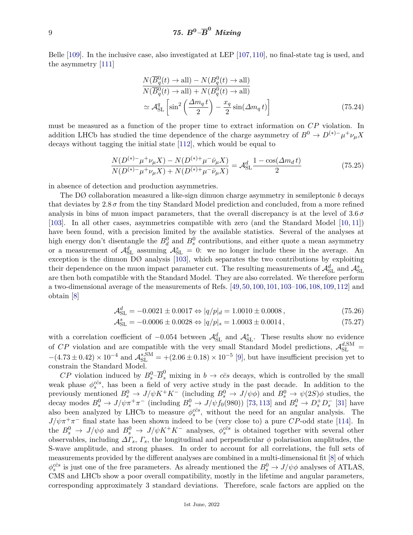Belle [\[109\]](#page-14-7). In the inclusive case, also investigated at LEP [\[107,](#page-14-5)[110\]](#page-14-8), no final-state tag is used, and the asymmetry [\[111\]](#page-14-9)

$$
\frac{N(\overline{B}_q^0(t) \to \text{all}) - N(B_q^0(t) \to \text{all})}{N(\overline{B}_q^0(t) \to \text{all}) + N(B_q^0(t) \to \text{all})}
$$
\n
$$
\simeq \mathcal{A}_{\text{SL}}^q \left[ \sin^2 \left( \frac{\Delta m_q t}{2} \right) - \frac{x_q}{2} \sin(\Delta m_q t) \right]
$$
\n(75.24)

must be measured as a function of the proper time to extract information on *CP* violation. In addition LHCb has studied the time dependence of the charge asymmetry of  $B^0 \to D^{(*)-} \mu^+ \nu_\mu X$ decays without tagging the initial state [\[112\]](#page-14-10), which would be equal to

$$
\frac{N(D^{(*)-}\mu^+\nu_{\mu}X) - N(D^{(*)+}\mu^-\bar{\nu}_{\mu}X)}{N(D^{(*)-}\mu^+\nu_{\mu}X) + N(D^{(*)+}\mu^-\bar{\nu}_{\mu}X)} = \mathcal{A}_{\rm SL}^d \frac{1 - \cos(\Delta m_d t)}{2}
$$
\n(75.25)

in absence of detection and production asymmetries.

The DØ collaboration measured a like-sign dimuon charge asymmetry in semileptonic *b* decays that deviates by  $2.8\,\sigma$  from the tiny Standard Model prediction and concluded, from a more refined analysis in bins of muon impact parameters, that the overall discrepancy is at the level of  $3.6\,\sigma$ [\[103\]](#page-14-2). In all other cases, asymmetries compatible with zero (and the Standard Model [\[10,](#page-10-17) [11\]](#page-10-9)) have been found, with a precision limited by the available statistics. Several of the analyses at high energy don't disentangle the  $B_d^0$  and  $B_s^0$  contributions, and either quote a mean asymmetry or a measurement of  $\mathcal{A}_{SL}^d$  assuming  $\mathcal{A}_{SL}^s = 0$ : we no longer include these in the average. An exception is the dimuon DØ analysis [\[103\]](#page-14-2), which separates the two contributions by exploiting their dependence on the muon impact parameter cut. The resulting measurements of  $\mathcal{A}^d_{\rm SL}$  and  $\mathcal{A}^s_{\rm SL}$ are then both compatible with the Standard Model. They are also correlated. We therefore perform a two-dimensional average of the measurements of Refs. [\[49,](#page-12-2)[50,](#page-12-3)[100,](#page-13-25)[101,](#page-14-0)[103–](#page-14-2)[106,](#page-14-4)[108,](#page-14-6)[109,](#page-14-7)[112\]](#page-14-10) and obtain [\[8\]](#page-10-7)

$$
\mathcal{A}_{\rm SL}^d = -0.0021 \pm 0.0017 \Leftrightarrow |q/p|_d = 1.0010 \pm 0.0008 \,,\tag{75.26}
$$

$$
\mathcal{A}_{\rm SL}^s = -0.0006 \pm 0.0028 \Leftrightarrow |q/p|_s = 1.0003 \pm 0.0014, \qquad (75.27)
$$

with a correlation coefficient of  $-0.054$  between  $\mathcal{A}^d_{SL}$  and  $\mathcal{A}^s_{SL}$ . These results show no evidence of CP violation and are compatible with the very small Standard Model predictions,  $\mathcal{A}_{\text{SL}}^{d,\text{SM}}=$  $-(4.73 \pm 0.42) \times 10^{-4}$  and  $\mathcal{A}_{SL}^{s,SM} = +(2.06 \pm 0.18) \times 10^{-5}$  [\[9\]](#page-10-8), but have insufficient precision yet to constrain the Standard Model.

*CP* violation induced by  $B_s^0$ - $\overline{B}_s^0$  mixing in  $b \to c\bar{c}s$  decays, which is controlled by the small weak phase  $\phi_s^{\overline{c}}$ , has been a field of very active study in the past decade. In addition to the previously mentioned  $B_s^0 \to J/\psi K^+ K^-$  (including  $B_s^0 \to J/\psi \phi$ ) and  $B_s^0 \to \psi(2S)\phi$  studies, the decay modes  $B_s^0 \to J/\psi \pi^+ \pi^-$  (including  $B_s^0 \to J/\psi f_0(980)$ ) [\[73,](#page-12-26) [113\]](#page-14-11) and  $B_s^0 \to D_s^+ D_s^-$  [\[31\]](#page-11-12) have also been analyzed by LHCb to measure  $\phi_s^{\overline{c}\overline{s}}$ , without the need for an angular analysis. The  $J/\psi \pi^+ \pi^-$  final state has been shown indeed to be (very close to) a pure *CP*-odd state [\[114\]](#page-14-12). In the  $B_s^0 \to J/\psi \phi$  and  $B_s^0 \to J/\psi K^+ K^-$  analyses,  $\phi_s^{c\bar{c}s}$  is obtained together with several other observables, including  $\Delta\Gamma_s$ ,  $\Gamma_s$ , the longitudinal and perpendicular  $\phi$  polarisation amplitudes, the S-wave amplitude, and strong phases. In order to account for all correlations, the full sets of measurements provided by the different analyses are combined in a multi-dimensional fit [\[8\]](#page-10-7) of which  $\phi_s^{c\bar{c}s}$  is just one of the free parameters. As already mentioned the  $B_s^0 \to J/\psi \phi$  analyses of ATLAS, CMS and LHCb show a poor overall compatibility, mostly in the lifetime and angular parameters, corresponding approximately 3 standard deviations. Therefore, scale factors are applied on the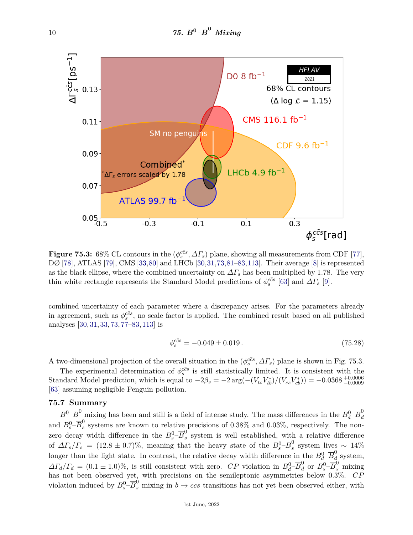

**Figure 75.3:** 68% CL contours in the  $(\phi_s^{c\bar{c}s}, \Delta\Gamma_s)$  plane, showing all measurements from CDF [\[77\]](#page-13-3), DØ [\[78\]](#page-13-4), ATLAS [\[79\]](#page-13-5), CMS [\[33,](#page-11-14)[80\]](#page-13-6) and LHCb [\[30,](#page-11-11)[31,](#page-11-12)[73,](#page-12-26)[81–](#page-13-7)[83,](#page-13-8)[113\]](#page-14-11). Their average [\[8\]](#page-10-7) is represented as the black ellipse, where the combined uncertainty on  $\Delta\Gamma_s$  has been multiplied by 1.78. The very thin white rectangle represents the Standard Model predictions of  $\phi_s^{c\bar{c}s}$  [\[63\]](#page-12-16) and  $\Delta\Gamma_s$  [\[9\]](#page-10-8).

combined uncertainty of each parameter where a discrepancy arises. For the parameters already in agreement, such as  $\phi_s^{c\bar{c}s}$ , no scale factor is applied. The combined result based on all published analyses [\[30,](#page-11-11) [31,](#page-11-12) [33,](#page-11-14) [73,](#page-12-26) [77–](#page-13-3)[83,](#page-13-8) [113\]](#page-14-11) is

$$
\phi_s^{c\bar{c}s} = -0.049 \pm 0.019. \tag{75.28}
$$

A two-dimensional projection of the overall situation in the  $(\phi_s^{c\bar{c}s}, \Delta\Gamma_s)$  plane is shown in Fig. 75.3.

The experimental determination of  $\phi_s^{c\bar{c}s}$  is still statistically limited. It is consistent with the Standard Model prediction, which is equal to  $-2\beta_s = -2 \arg(-(V_{ts} V_{tb}^*)/(V_{cs} V_{cb}^*)) = -0.0368_{-0.0009}^{+0.0006}$ [\[63\]](#page-12-16) assuming negligible Penguin pollution.

#### **75.7 Summary**

 $B^0-\overline{B}^0$  mixing has been and still is a field of intense study. The mass differences in the  $B_d^0-\overline{B}_d^0$ *d* and  $B_s^0$ - $\overline{B}_s^0$  $\frac{6}{s}$  systems are known to relative precisions of 0.38% and 0.03%, respectively. The nonzero decay width difference in the  $B_s^0$ - $\overline{B}_s^0$ *s* system is well established, with a relative difference of  $\Delta \Gamma_s / \Gamma_s = (12.8 \pm 0.7)\%$ , meaning that the heavy state of the  $B_s^0 - \overline{B}_s^0$ s system lives ∼ 14% longer than the light state. In contrast, the relative decay width difference in the  $B_d^0$ - $\overline{B}_d^0$ *d* system,  $\Delta\Gamma_d/\Gamma_d = (0.1 \pm 1.0)\%$ , is still consistent with zero. *CP* violation in  $B_d^0$ – $\overline{B}_d^0$  or  $B_s^0$ – $\overline{B}_s^0$  mixing has not been observed yet, with precisions on the semileptonic asymmetries below 0.3%. *CP* violation induced by  $B_s^0$ - $\overline{B}_s^0$  mixing in  $b \to c\bar{c}s$  transitions has not yet been observed either, with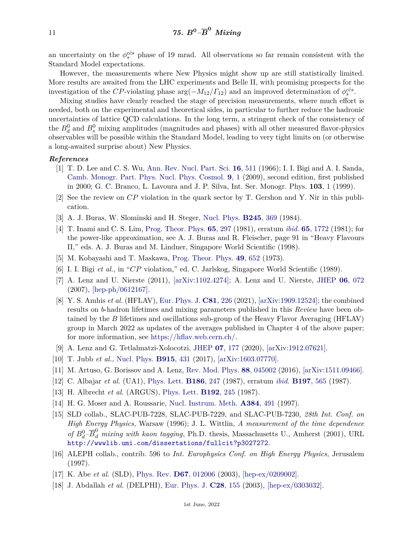an uncertainty on the  $\phi_s^{c\bar{c}s}$  phase of 19 mrad. All observations so far remain consistent with the Standard Model expectations.

However, the measurements where New Physics might show up are still statistically limited. More results are awaited from the LHC experiments and Belle II, with promising prospects for the investigation of the *CP*-violating phase  $\arg(-M_{12}/\Gamma_{12})$  and an improved determination of  $\phi_s^{c\bar{c}s}$ .

Mixing studies have clearly reached the stage of precision measurements, where much effort is needed, both on the experimental and theoretical sides, in particular to further reduce the hadronic uncertainties of lattice QCD calculations. In the long term, a stringent check of the consistency of the  $B_d^0$  and  $B_s^0$  mixing amplitudes (magnitudes and phases) with all other measured flavor-physics observables will be possible within the Standard Model, leading to very tight limits on (or otherwise a long-awaited surprise about) New Physics.

#### <span id="page-10-0"></span>*References*

- [1] T. D. Lee and C. S. Wu, [Ann. Rev. Nucl. Part. Sci.](http://doi.org/10.1146/annurev.ns.16.120166.002455) **16**[, 511](http://doi.org/10.1146/annurev.ns.16.120166.002455) (1966); I. I. Bigi and A. I. Sanda, [Camb. Monogr. Part. Phys. Nucl. Phys. Cosmol.](http://doi.org/10.1017/CBO9780511581014) **9**[, 1](http://doi.org/10.1017/CBO9780511581014) (2009), second edition, first published in 2000; G. C. Branco, L. Lavoura and J. P. Silva, Int. Ser. Monogr. Phys. **103**, 1 (1999).
- <span id="page-10-1"></span>[2] See the review on *CP* violation in the quark sector by T. Gershon and Y. Nir in this publication.
- <span id="page-10-2"></span>[3] A. J. Buras, W. Slominski and H. Steger, [Nucl. Phys.](http://doi.org/10.1016/0550-3213(84)90437-1) **[B245](http://doi.org/10.1016/0550-3213(84)90437-1)**, 369 (1984).
- <span id="page-10-3"></span>[4] T. Inami and C. S. Lim, [Prog. Theor. Phys.](http://doi.org/10.1143/PTP.65.297) **65**[, 297](http://doi.org/10.1143/PTP.65.297) (1981), erratum *ibid.* **65**[, 1772](https://doi.org/10.1143/PTP.65.1772) (1981); for the power-like approximation, see A. J. Buras and R. Fleischer, page 91 in "Heavy Flavours II," eds. A. J. Buras and M. Lindner, Singapore World Scientific (1998).
- <span id="page-10-4"></span>[5] M. Kobayashi and T. Maskawa, [Prog. Theor. Phys.](http://doi.org/10.1143/PTP.49.652) **49**[, 652](http://doi.org/10.1143/PTP.49.652) (1973).
- <span id="page-10-5"></span>[6] I. I. Bigi *et al.*, in "*CP* violation," ed. C. Jarlskog, Singapore World Scientific (1989).
- <span id="page-10-6"></span>[7] A. Lenz and U. Nierste (2011), [\[arXiv:1102.4274\];](https://arxiv.org/abs/1102.4274) A. Lenz and U. Nierste, [JHEP](http://doi.org/10.1088/1126-6708/2007/06/072) **06**[, 072](http://doi.org/10.1088/1126-6708/2007/06/072) (2007), [\[hep-ph/0612167\].](https://arxiv.org/abs/hep-ph/0612167)
- <span id="page-10-7"></span>[8] Y. S. Amhis *et al.* (HFLAV), [Eur. Phys. J.](http://doi.org/10.1140/epjc/s10052-020-8156-7) **C81**[, 226](http://doi.org/10.1140/epjc/s10052-020-8156-7) (2021), [\[arXiv:1909.12524\];](https://arxiv.org/abs/1909.12524) the combined results on *b*-hadron lifetimes and mixing parameters published in this *Review* have been obtained by the *B* lifetimes and oscillations sub-group of the Heavy Flavor Averaging (HFLAV) group in March 2022 as updates of the averages published in Chapter 4 of the above paper; for more information, see [https://hflav.web.cern.ch/.](https://hflav.web.cern.ch/)
- <span id="page-10-8"></span>[9] A. Lenz and G. Tetlalmatzi-Xolocotzi, [JHEP](http://doi.org/10.1007/JHEP07(2020)177) **07**[, 177](http://doi.org/10.1007/JHEP07(2020)177) (2020), [\[arXiv:1912.07621\].](https://arxiv.org/abs/1912.07621)
- <span id="page-10-17"></span>[10] T. Jubb *et al.*, [Nucl. Phys.](http://doi.org/10.1016/j.nuclphysb.2016.12.020) **[B915](http://doi.org/10.1016/j.nuclphysb.2016.12.020)**, 431 (2017), [\[arXiv:1603.07770\].](https://arxiv.org/abs/1603.07770)
- <span id="page-10-9"></span>[11] M. Artuso, G. Borissov and A. Lenz, [Rev. Mod. Phys.](http://doi.org/10.1103/RevModPhys.88.045002) **88**[, 045002](http://doi.org/10.1103/RevModPhys.88.045002) (2016), [\[arXiv:1511.09466\].](https://arxiv.org/abs/1511.09466)
- <span id="page-10-10"></span>[12] C. Albajar *et al.* (UA1), [Phys. Lett.](http://doi.org/10.1016/0370-2693(87)90288-7) **[B186](http://doi.org/10.1016/0370-2693(87)90288-7)**, 247 (1987), erratum *ibid.* **[B197](https://doi.org/10.1016/0370-2693(87)91057-4)**, 565 (1987).
- <span id="page-10-11"></span>[13] H. Albrecht *et al.* (ARGUS), [Phys. Lett.](http://doi.org/10.1016/0370-2693(87)91177-4) **[B192](http://doi.org/10.1016/0370-2693(87)91177-4)**, 245 (1987).
- <span id="page-10-12"></span>[14] H. G. Moser and A. Roussarie, [Nucl. Instrum. Meth.](http://doi.org/10.1016/S0168-9002(96)00887-X) **[A384](http://doi.org/10.1016/S0168-9002(96)00887-X)**, 491 (1997).
- <span id="page-10-13"></span>[15] SLD collab., SLAC-PUB-7228, SLAC-PUB-7229, and SLAC-PUB-7230, *28th Int. Conf. on High Energy Physics,* Warsaw (1996); J. L. Wittlin, *A measurement of the time dependence of*  $B_d^0$  – $\overline{B}_d^0$  *mixing with kaon tagging*, Ph.D. thesis, Massachusetts U., Amherst (2001), URL <http://wwwlib.umi.com/dissertations/fullcit?p3027272>.
- <span id="page-10-14"></span>[16] ALEPH collab., contrib. 596 to *Int. Europhysics Conf. on High Energy Physics,* Jerusalem (1997).
- <span id="page-10-15"></span>[17] K. Abe *et al.* (SLD), [Phys. Rev.](http://doi.org/10.1103/PhysRevD.67.012006) **D67**[, 012006](http://doi.org/10.1103/PhysRevD.67.012006) (2003), [\[hep-ex/0209002\].](https://arxiv.org/abs/hep-ex/0209002)
- <span id="page-10-16"></span>[18] J. Abdallah *et al.* (DELPHI), [Eur. Phys. J.](http://doi.org/10.1140/epjc/s2003-01183-7) **C28**[, 155](http://doi.org/10.1140/epjc/s2003-01183-7) (2003), [\[hep-ex/0303032\].](https://arxiv.org/abs/hep-ex/0303032)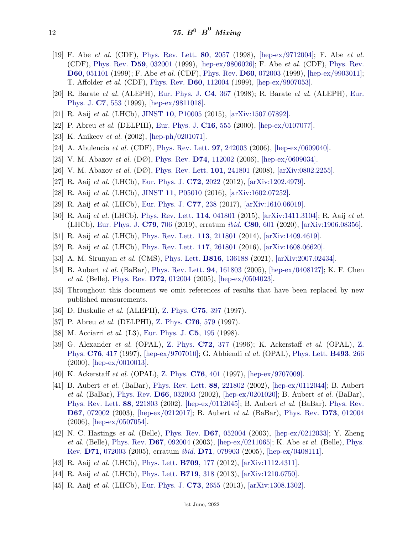- <span id="page-11-0"></span>[19] F. Abe *et al.* (CDF), [Phys. Rev. Lett.](http://doi.org/10.1103/PhysRevLett.80.2057) **80**[, 2057](http://doi.org/10.1103/PhysRevLett.80.2057) (1998), [\[hep-ex/9712004\];](https://arxiv.org/abs/hep-ex/9712004) F. Abe *et al.* (CDF), [Phys. Rev.](http://doi.org/10.1103/PhysRevD.59.032001) **D59**[, 032001](http://doi.org/10.1103/PhysRevD.59.032001) (1999), [\[hep-ex/9806026\];](https://arxiv.org/abs/hep-ex/9806026) F. Abe *et al.* (CDF), [Phys. Rev.](http://doi.org/10.1103/PhysRevD.60.051101) **D60**[, 051101](http://doi.org/10.1103/PhysRevD.60.051101) (1999); F. Abe *et al.* (CDF), [Phys. Rev.](http://doi.org/10.1103/PhysRevD.60.072003) **D60**[, 072003](http://doi.org/10.1103/PhysRevD.60.072003) (1999), [\[hep-ex/9903011\];](https://arxiv.org/abs/hep-ex/9903011) T. Affolder *et al.* (CDF), [Phys. Rev.](http://doi.org/10.1103/PhysRevD.60.112004) **D60**[, 112004](http://doi.org/10.1103/PhysRevD.60.112004) (1999), [\[hep-ex/9907053\].](https://arxiv.org/abs/hep-ex/9907053)
- <span id="page-11-1"></span>[20] R. Barate *et al.* (ALEPH), [Eur. Phys. J.](http://doi.org/10.1007/s100520050215) **C4**[, 367](http://doi.org/10.1007/s100520050215) (1998); R. Barate *et al.* (ALEPH), [Eur.](http://doi.org/10.1007/s100529901108) [Phys. J.](http://doi.org/10.1007/s100529901108) **C7**[, 553](http://doi.org/10.1007/s100529901108) (1999), [\[hep-ex/9811018\].](https://arxiv.org/abs/hep-ex/9811018)
- <span id="page-11-2"></span>[21] R. Aaij *et al.* (LHCb), [JINST](http://doi.org/10.1088/1748-0221/10/10/P10005) **10**[, P10005](http://doi.org/10.1088/1748-0221/10/10/P10005) (2015), [\[arXiv:1507.07892\].](https://arxiv.org/abs/1507.07892)
- <span id="page-11-3"></span>[22] P. Abreu *et al.* (DELPHI), [Eur. Phys. J.](http://doi.org/10.1007/s100520000415) **C16**[, 555](http://doi.org/10.1007/s100520000415) (2000), [\[hep-ex/0107077\].](https://arxiv.org/abs/hep-ex/0107077)
- <span id="page-11-4"></span>[23] K. Anikeev *et al.* (2002), [\[hep-ph/0201071\].](https://arxiv.org/abs/hep-ph/0201071)
- <span id="page-11-5"></span>[24] A. Abulencia *et al.* (CDF), [Phys. Rev. Lett.](http://doi.org/10.1103/PhysRevLett.97.242003) **97**[, 242003](http://doi.org/10.1103/PhysRevLett.97.242003) (2006), [\[hep-ex/0609040\].](https://arxiv.org/abs/hep-ex/0609040)
- <span id="page-11-6"></span>[25] V. M. Abazov *et al.* (DØ), [Phys. Rev.](http://doi.org/10.1103/PhysRevD.74.112002) **D74**[, 112002](http://doi.org/10.1103/PhysRevD.74.112002) (2006), [\[hep-ex/0609034\].](https://arxiv.org/abs/hep-ex/0609034)
- <span id="page-11-7"></span>[26] V. M. Abazov *et al.* (DØ), [Phys. Rev. Lett.](http://doi.org/10.1103/PhysRevLett.101.241801) **101**[, 241801](http://doi.org/10.1103/PhysRevLett.101.241801) (2008), [\[arXiv:0802.2255\].](https://arxiv.org/abs/0802.2255)
- <span id="page-11-8"></span>[27] R. Aaij *et al.* (LHCb), [Eur. Phys. J.](http://doi.org/10.1140/epjc/s10052-012-2022-1) **C72**[, 2022](http://doi.org/10.1140/epjc/s10052-012-2022-1) (2012), [\[arXiv:1202.4979\].](https://arxiv.org/abs/1202.4979)
- <span id="page-11-9"></span>[28] R. Aaij *et al.* (LHCb), [JINST](http://doi.org/10.1088/1748-0221/11/05/P05010) **11**[, P05010](http://doi.org/10.1088/1748-0221/11/05/P05010) (2016), [\[arXiv:1602.07252\].](https://arxiv.org/abs/1602.07252)
- <span id="page-11-10"></span>[29] R. Aaij *et al.* (LHCb), [Eur. Phys. J.](http://doi.org/10.1140/epjc/s10052-017-4731-y) **C77**[, 238](http://doi.org/10.1140/epjc/s10052-017-4731-y) (2017), [\[arXiv:1610.06019\].](https://arxiv.org/abs/1610.06019)
- <span id="page-11-11"></span>[30] R. Aaij *et al.* (LHCb), [Phys. Rev. Lett.](http://doi.org/10.1103/PhysRevLett.114.041801) **114**[, 041801](http://doi.org/10.1103/PhysRevLett.114.041801) (2015), [\[arXiv:1411.3104\];](https://arxiv.org/abs/1411.3104) R. Aaij *et al.* (LHCb), [Eur. Phys. J.](http://doi.org/10.1140/epjc/s10052-019-7159-8) **C79**[, 706](http://doi.org/10.1140/epjc/s10052-019-7159-8) (2019), erratum *ibid.* **C80**[, 601](https://doi.org/10.1140/epjc/s10052-020-7875-0) (2020), [\[arXiv:1906.08356\].](https://arxiv.org/abs/1906.08356)
- <span id="page-11-13"></span><span id="page-11-12"></span>[31] R. Aaij *et al.* (LHCb), [Phys. Rev. Lett.](http://doi.org/10.1103/PhysRevLett.113.211801) **113**[, 211801](http://doi.org/10.1103/PhysRevLett.113.211801) (2014), [\[arXiv:1409.4619\].](https://arxiv.org/abs/1409.4619)
- [32] R. Aaij *et al.* (LHCb), [Phys. Rev. Lett.](http://doi.org/10.1103/PhysRevLett.117.261801) **117**[, 261801](http://doi.org/10.1103/PhysRevLett.117.261801) (2016), [\[arXiv:1608.06620\].](https://arxiv.org/abs/1608.06620)
- <span id="page-11-14"></span>[33] A. M. Sirunyan *et al.* (CMS), [Phys. Lett.](http://doi.org/10.1016/j.physletb.2021.136188) **B816**[, 136188](http://doi.org/10.1016/j.physletb.2021.136188) (2021), [\[arXiv:2007.02434\].](https://arxiv.org/abs/2007.02434)
- <span id="page-11-15"></span>[34] B. Aubert *et al.* (BaBar), [Phys. Rev. Lett.](http://doi.org/10.1103/PhysRevLett.94.161803) **94**[, 161803](http://doi.org/10.1103/PhysRevLett.94.161803) (2005), [\[hep-ex/0408127\];](https://arxiv.org/abs/hep-ex/0408127) K. F. Chen *et al.* (Belle), [Phys. Rev.](http://doi.org/10.1103/PhysRevD.72.012004) **D72**[, 012004](http://doi.org/10.1103/PhysRevD.72.012004) (2005), [\[hep-ex/0504023\].](https://arxiv.org/abs/hep-ex/0504023)
- <span id="page-11-16"></span>[35] Throughout this document we omit references of results that have been replaced by new published measurements.
- <span id="page-11-17"></span>[36] D. Buskulic *et al.* (ALEPH), [Z. Phys.](http://doi.org/10.1007/s002880050483) **C75**[, 397](http://doi.org/10.1007/s002880050483) (1997).
- <span id="page-11-19"></span><span id="page-11-18"></span>[37] P. Abreu *et al.* (DELPHI), [Z. Phys.](http://doi.org/10.1007/s002880050582) **C76**[, 579](http://doi.org/10.1007/s002880050582) (1997).
- [38] M. Acciarri *et al.* (L3), [Eur. Phys. J.](http://doi.org/10.1007/s100520050262) **C5**[, 195](http://doi.org/10.1007/s100520050262) (1998).
- <span id="page-11-20"></span>[39] G. Alexander *et al.* (OPAL), [Z. Phys.](http://doi.org/10.1007/s002880050258) **C72**[, 377](http://doi.org/10.1007/s002880050258) (1996); K. Ackerstaff *et al.* (OPAL), [Z.](http://doi.org/10.1007/s002880050565) [Phys.](http://doi.org/10.1007/s002880050565) **C76**[, 417](http://doi.org/10.1007/s002880050565) (1997), [\[hep-ex/9707010\];](https://arxiv.org/abs/hep-ex/9707010) G. Abbiendi *et al.* (OPAL), [Phys. Lett.](http://doi.org/10.1016/S0370-2693(00)01145-X) **[B493](http://doi.org/10.1016/S0370-2693(00)01145-X)**, 266  $(2000)$ , [\[hep-ex/0010013\].](https://arxiv.org/abs/hep-ex/0010013)
- <span id="page-11-21"></span>[40] K. Ackerstaff *et al.* (OPAL), [Z. Phys.](http://doi.org/10.1007/s002880050564) **C76**[, 401](http://doi.org/10.1007/s002880050564) (1997), [\[hep-ex/9707009\].](https://arxiv.org/abs/hep-ex/9707009)
- <span id="page-11-22"></span>[41] B. Aubert *et al.* (BaBar), [Phys. Rev. Lett.](http://doi.org/10.1103/PhysRevLett.88.221802) **88**[, 221802](http://doi.org/10.1103/PhysRevLett.88.221802) (2002), [\[hep-ex/0112044\];](https://arxiv.org/abs/hep-ex/0112044) B. Aubert *et al.* (BaBar), [Phys. Rev.](http://doi.org/10.1103/PhysRevD.66.032003) **D66**[, 032003](http://doi.org/10.1103/PhysRevD.66.032003) (2002), [\[hep-ex/0201020\];](https://arxiv.org/abs/hep-ex/0201020) B. Aubert *et al.* (BaBar), [Phys. Rev. Lett.](http://doi.org/10.1103/PhysRevLett.88.221803) **88**[, 221803](http://doi.org/10.1103/PhysRevLett.88.221803) (2002), [\[hep-ex/0112045\];](https://arxiv.org/abs/hep-ex/0112045) B. Aubert *et al.* (BaBar), [Phys. Rev.](http://doi.org/10.1103/PhysRevD.67.072002) **D67**[, 072002](http://doi.org/10.1103/PhysRevD.67.072002) (2003), [\[hep-ex/0212017\];](https://arxiv.org/abs/hep-ex/0212017) B. Aubert *et al.* (BaBar), [Phys. Rev.](http://doi.org/10.1103/PhysRevD.73.012004) **D73**[, 012004](http://doi.org/10.1103/PhysRevD.73.012004) (2006), [\[hep-ex/0507054\].](https://arxiv.org/abs/hep-ex/0507054)
- <span id="page-11-23"></span>[42] N. C. Hastings *et al.* (Belle), [Phys. Rev.](http://doi.org/10.1103/PhysRevD.67.052004) **D67**[, 052004](http://doi.org/10.1103/PhysRevD.67.052004) (2003), [\[hep-ex/0212033\];](https://arxiv.org/abs/hep-ex/0212033) Y. Zheng *et al.* (Belle), [Phys. Rev.](http://doi.org/10.1103/PhysRevD.67.092004) **D67**[, 092004](http://doi.org/10.1103/PhysRevD.67.092004) (2003), [\[hep-ex/0211065\];](https://arxiv.org/abs/hep-ex/0211065) K. Abe *et al.* (Belle), [Phys.](http://doi.org/10.1103/PhysRevD.71.072003) [Rev.](http://doi.org/10.1103/PhysRevD.71.072003) **D71**[, 072003](http://doi.org/10.1103/PhysRevD.71.072003) (2005), erratum *ibid.* **D71**[, 079903](https://doi.org/10.1103/PhysRevD.71.079903) (2005), [\[hep-ex/0408111\].](https://arxiv.org/abs/hep-ex/0408111)
- <span id="page-11-24"></span>[43] R. Aaij *et al.* (LHCb), [Phys. Lett.](http://doi.org/10.1016/j.physletb.2012.02.031) **[B709](http://doi.org/10.1016/j.physletb.2012.02.031)**, 177 (2012), [\[arXiv:1112.4311\].](https://arxiv.org/abs/1112.4311)
- [44] R. Aaij *et al.* (LHCb), [Phys. Lett.](http://doi.org/10.1016/j.physletb.2013.01.019) **[B719](http://doi.org/10.1016/j.physletb.2013.01.019)**, 318 (2013), [\[arXiv:1210.6750\].](https://arxiv.org/abs/1210.6750)
- <span id="page-11-25"></span>[45] R. Aaij *et al.* (LHCb), [Eur. Phys. J.](http://doi.org/10.1140/epjc/s10052-013-2655-8) **C73**[, 2655](http://doi.org/10.1140/epjc/s10052-013-2655-8) (2013), [\[arXiv:1308.1302\].](https://arxiv.org/abs/1308.1302)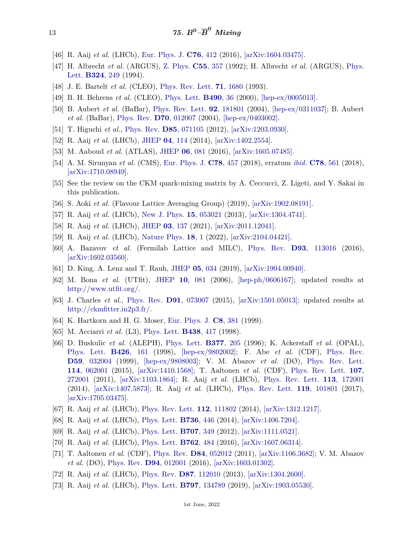- <span id="page-12-0"></span>[46] R. Aaij *et al.* (LHCb), [Eur. Phys. J.](http://doi.org/10.1140/epjc/s10052-016-4250-2) **C76**[, 412](http://doi.org/10.1140/epjc/s10052-016-4250-2) (2016), [\[arXiv:1604.03475\].](https://arxiv.org/abs/1604.03475)
- <span id="page-12-1"></span>[47] H. Albrecht *et al.* (ARGUS), [Z. Phys.](http://doi.org/10.1007/BF01565092) **C55**[, 357](http://doi.org/10.1007/BF01565092) (1992); H. Albrecht *et al.* (ARGUS), [Phys.](http://doi.org/10.1016/0370-2693(94)90415-4) [Lett.](http://doi.org/10.1016/0370-2693(94)90415-4) **[B324](http://doi.org/10.1016/0370-2693(94)90415-4)**, 249 (1994).
- <span id="page-12-2"></span>[48] J. E. Bartelt *et al.* (CLEO), [Phys. Rev. Lett.](http://doi.org/10.1103/PhysRevLett.71.1680) **71**[, 1680](http://doi.org/10.1103/PhysRevLett.71.1680) (1993).
- [49] B. H. Behrens *et al.* (CLEO), [Phys. Lett.](http://doi.org/10.1016/S0370-2693(00)00990-4) **[B490](http://doi.org/10.1016/S0370-2693(00)00990-4)**, 36 (2000), [\[hep-ex/0005013\].](https://arxiv.org/abs/hep-ex/0005013)
- <span id="page-12-3"></span>[50] B. Aubert *et al.* (BaBar), [Phys. Rev. Lett.](http://doi.org/10.1103/PhysRevLett.92.181801) **92**[, 181801](http://doi.org/10.1103/PhysRevLett.92.181801) (2004), [\[hep-ex/0311037\];](https://arxiv.org/abs/hep-ex/0311037) B. Aubert *et al.* (BaBar), [Phys. Rev.](http://doi.org/10.1103/PhysRevD.70.012007) **D70**[, 012007](http://doi.org/10.1103/PhysRevD.70.012007) (2004), [\[hep-ex/0403002\].](https://arxiv.org/abs/hep-ex/0403002)
- <span id="page-12-4"></span>[51] T. Higuchi *et al.*, [Phys. Rev.](http://doi.org/10.1103/PhysRevD.85.071105) **D85**[, 071105](http://doi.org/10.1103/PhysRevD.85.071105) (2012), [\[arXiv:1203.0930\].](https://arxiv.org/abs/1203.0930)
- <span id="page-12-5"></span>[52] R. Aaij *et al.* (LHCb), [JHEP](http://doi.org/10.1007/JHEP04(2014)114) **04**[, 114](http://doi.org/10.1007/JHEP04(2014)114) (2014), [\[arXiv:1402.2554\].](https://arxiv.org/abs/1402.2554)
- <span id="page-12-6"></span>[53] M. Aaboud *et al.* (ATLAS), [JHEP](http://doi.org/10.1007/JHEP06(2016)081) **06**[, 081](http://doi.org/10.1007/JHEP06(2016)081) (2016), [\[arXiv:1605.07485\].](https://arxiv.org/abs/1605.07485)
- <span id="page-12-7"></span>[54] A. M. Sirunyan *et al.* (CMS), [Eur. Phys. J.](http://doi.org/10.1140/epjc/s10052-018-5929-3) **C78**[, 457](http://doi.org/10.1140/epjc/s10052-018-5929-3) (2018), erratum *ibid.* **C78**[, 561](https://doi.org/10.1140/epjc/s10052-018-6014-7) (2018), [\[arXiv:1710.08949\].](https://arxiv.org/abs/1710.08949)
- <span id="page-12-8"></span>[55] See the review on the CKM quark-mixing matrix by A. Ceccucci, Z. Ligeti, and Y. Sakai in this publication.
- <span id="page-12-9"></span>[56] S. Aoki *et al.* (Flavour Lattice Averaging Group) (2019), [\[arXiv:1902.08191\].](https://arxiv.org/abs/1902.08191)
- <span id="page-12-10"></span>[57] R. Aaij *et al.* (LHCb), [New J. Phys.](http://doi.org/10.1088/1367-2630/15/5/053021) **15**[, 053021](http://doi.org/10.1088/1367-2630/15/5/053021) (2013), [\[arXiv:1304.4741\].](https://arxiv.org/abs/1304.4741)
- <span id="page-12-11"></span>[58] R. Aaij *et al.* (LHCb), [JHEP](http://doi.org/10.1007/JHEP03(2021)137) **03**[, 137](http://doi.org/10.1007/JHEP03(2021)137) (2021), [\[arXiv:2011.12041\].](https://arxiv.org/abs/2011.12041)
- <span id="page-12-12"></span>[59] R. Aaij *et al.* (LHCb), [Nature Phys.](http://doi.org/10.1038/s41567-021-01394-x) **[18](http://doi.org/10.1038/s41567-021-01394-x)**, 1 (2022), [\[arXiv:2104.04421\].](https://arxiv.org/abs/2104.04421)
- <span id="page-12-13"></span>[60] A. Bazavov *et al.* (Fermilab Lattice and MILC), [Phys. Rev.](http://doi.org/10.1103/PhysRevD.93.113016) **D93**[, 113016](http://doi.org/10.1103/PhysRevD.93.113016) (2016), [\[arXiv:1602.03560\].](https://arxiv.org/abs/1602.03560)
- <span id="page-12-14"></span>[61] D. King, A. Lenz and T. Rauh, [JHEP](http://doi.org/10.1007/JHEP05(2019)034) **05**[, 034](http://doi.org/10.1007/JHEP05(2019)034) (2019), [\[arXiv:1904.00940\].](https://arxiv.org/abs/1904.00940)
- <span id="page-12-15"></span>[62] M. Bona *et al.* (UTfit), [JHEP](http://doi.org/10.1088/1126-6708/2006/10/081) **10**[, 081](http://doi.org/10.1088/1126-6708/2006/10/081) (2006), [\[hep-ph/0606167\];](https://arxiv.org/abs/hep-ph/0606167) updated results at [http://www.utfit.org/.](http://www.utfit.org/)
- <span id="page-12-16"></span>[63] J. Charles *et al.*, [Phys. Rev.](http://doi.org/10.1103/PhysRevD.91.073007) **D91**[, 073007](http://doi.org/10.1103/PhysRevD.91.073007) (2015), [\[arXiv:1501.05013\];](https://arxiv.org/abs/1501.05013) updated results at [http://ckmfitter.in2p3.fr/.](http://ckmfitter.in2p3.fr/)
- <span id="page-12-17"></span>[64] K. Hartkorn and H. G. Moser, [Eur. Phys. J.](http://doi.org/10.1007/s100520050472) **C8**[, 381](http://doi.org/10.1007/s100520050472) (1999).
- <span id="page-12-18"></span>[65] M. Acciarri *et al.* (L3), [Phys. Lett.](http://doi.org/10.1016/S0370-2693(98)01114-9) **[B438](http://doi.org/10.1016/S0370-2693(98)01114-9)**, 417 (1998).
- <span id="page-12-19"></span>[66] D. Buskulic *et al.* (ALEPH), [Phys. Lett.](http://doi.org/10.1016/0370-2693(96)00451-0) **[B377](http://doi.org/10.1016/0370-2693(96)00451-0)**, 205 (1996); K. Ackerstaff *et al.* (OPAL), [Phys. Lett.](http://doi.org/10.1016/S0370-2693(98)00289-5) **B426**[, 161](http://doi.org/10.1016/S0370-2693(98)00289-5) (1998), [\[hep-ex/9802002\];](https://arxiv.org/abs/hep-ex/9802002) F. Abe *et al.* (CDF), [Phys. Rev.](http://doi.org/10.1103/PhysRevD.59.032004) **D59**[, 032004](http://doi.org/10.1103/PhysRevD.59.032004) (1999), [\[hep-ex/9808003\];](https://arxiv.org/abs/hep-ex/9808003) V. M. Abazov *et al.* (DØ), [Phys. Rev. Lett.](http://doi.org/10.1103/PhysRevLett.114.062001) **114**[, 062001](http://doi.org/10.1103/PhysRevLett.114.062001) (2015), [\[arXiv:1410.1568\];](https://arxiv.org/abs/1410.1568) T. Aaltonen *et al.* (CDF), [Phys. Rev. Lett.](http://doi.org/10.1103/PhysRevLett.107.272001) **[107](http://doi.org/10.1103/PhysRevLett.107.272001)**, [272001](http://doi.org/10.1103/PhysRevLett.107.272001) (2011), [\[arXiv:1103.1864\];](https://arxiv.org/abs/1103.1864) R. Aaij *et al.* (LHCb), [Phys. Rev. Lett.](http://doi.org/10.1103/PhysRevLett.113.172001) **113**[, 172001](http://doi.org/10.1103/PhysRevLett.113.172001) (2014), [\[arXiv:1407.5873\];](https://arxiv.org/abs/1407.5873) R. Aaij *et al.* (LHCb), [Phys. Rev. Lett.](http://doi.org/10.1103/PhysRevLett.119.101801) **119**[, 101801](http://doi.org/10.1103/PhysRevLett.119.101801) (2017), [\[arXiv:1705.03475\].](https://arxiv.org/abs/1705.03475)
- <span id="page-12-21"></span>[67] R. Aaij *et al.* (LHCb), [Phys. Rev. Lett.](http://doi.org/10.1103/PhysRevLett.112.111802) **112**[, 111802](http://doi.org/10.1103/PhysRevLett.112.111802) (2014), [\[arXiv:1312.1217\].](https://arxiv.org/abs/1312.1217)
- <span id="page-12-20"></span>[68] R. Aaij *et al.* (LHCb), [Phys. Lett.](http://doi.org/10.1016/j.physletb.2014.07.051) **[B736](http://doi.org/10.1016/j.physletb.2014.07.051)**, 446 (2014), [\[arXiv:1406.7204\].](https://arxiv.org/abs/1406.7204)
- <span id="page-12-22"></span>[69] R. Aaij *et al.* (LHCb), [Phys. Lett.](http://doi.org/10.1016/j.physletb.2011.12.058) **[B707](http://doi.org/10.1016/j.physletb.2011.12.058)**, 349 (2012), [\[arXiv:1111.0521\].](https://arxiv.org/abs/1111.0521)
- <span id="page-12-23"></span>[70] R. Aaij *et al.* (LHCb), [Phys. Lett.](http://doi.org/10.1016/j.physletb.2016.10.006) **[B762](http://doi.org/10.1016/j.physletb.2016.10.006)**, 484 (2016), [\[arXiv:1607.06314\].](https://arxiv.org/abs/1607.06314)
- <span id="page-12-24"></span>[71] T. Aaltonen *et al.* (CDF), [Phys. Rev.](http://doi.org/10.1103/PhysRevD.84.052012) **D84**[, 052012](http://doi.org/10.1103/PhysRevD.84.052012) (2011), [\[arXiv:1106.3682\];](https://arxiv.org/abs/1106.3682) V. M. Abazov *et al.* (DØ), [Phys. Rev.](http://doi.org/10.1103/PhysRevD.94.012001) **D94**[, 012001](http://doi.org/10.1103/PhysRevD.94.012001) (2016), [\[arXiv:1603.01302\].](https://arxiv.org/abs/1603.01302)
- <span id="page-12-25"></span>[72] R. Aaij *et al.* (LHCb), [Phys. Rev.](http://doi.org/10.1103/PhysRevD.87.112010) **D87**[, 112010](http://doi.org/10.1103/PhysRevD.87.112010) (2013), [\[arXiv:1304.2600\].](https://arxiv.org/abs/1304.2600)
- <span id="page-12-26"></span>[73] R. Aaij *et al.* (LHCb), [Phys. Lett.](http://doi.org/10.1016/j.physletb.2019.07.036) **B797**[, 134789](http://doi.org/10.1016/j.physletb.2019.07.036) (2019), [\[arXiv:1903.05530\].](https://arxiv.org/abs/1903.05530)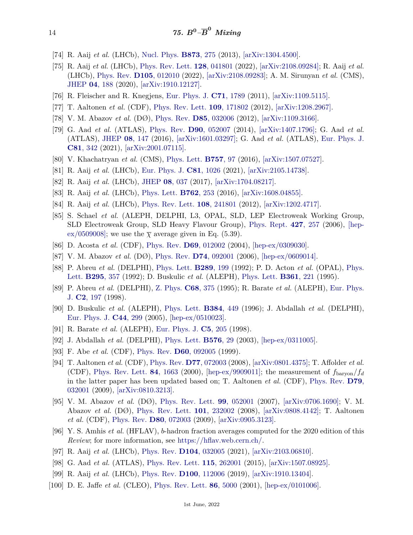- <span id="page-13-0"></span>[74] R. Aaij *et al.* (LHCb), [Nucl. Phys.](http://doi.org/10.1016/j.nuclphysb.2013.04.021) **[B873](http://doi.org/10.1016/j.nuclphysb.2013.04.021)**, 275 (2013), [\[arXiv:1304.4500\].](https://arxiv.org/abs/1304.4500)
- <span id="page-13-1"></span>[75] R. Aaij *et al.* (LHCb), [Phys. Rev. Lett.](http://doi.org/10.1103/PhysRevLett.128.041801) **128**[, 041801](http://doi.org/10.1103/PhysRevLett.128.041801) (2022), [\[arXiv:2108.09284\];](https://arxiv.org/abs/2108.09284) R. Aaij *et al.* (LHCb), [Phys. Rev.](http://doi.org/10.1103/PhysRevD.105.012010) **D105**[, 012010](http://doi.org/10.1103/PhysRevD.105.012010) (2022), [\[arXiv:2108.09283\];](https://arxiv.org/abs/2108.09283) A. M. Sirunyan *et al.* (CMS), [JHEP](http://doi.org/10.1007/JHEP04(2020)188) **04**[, 188](http://doi.org/10.1007/JHEP04(2020)188) (2020), [\[arXiv:1910.12127\].](https://arxiv.org/abs/1910.12127)
- <span id="page-13-2"></span>[76] R. Fleischer and R. Knegjens, [Eur. Phys. J.](http://doi.org/10.1140/epjc/s10052-011-1789-9) **C71**[, 1789](http://doi.org/10.1140/epjc/s10052-011-1789-9) (2011), [\[arXiv:1109.5115\].](https://arxiv.org/abs/1109.5115)
- <span id="page-13-3"></span>[77] T. Aaltonen *et al.* (CDF), [Phys. Rev. Lett.](http://doi.org/10.1103/PhysRevLett.109.171802) **109**[, 171802](http://doi.org/10.1103/PhysRevLett.109.171802) (2012), [\[arXiv:1208.2967\].](https://arxiv.org/abs/1208.2967)
- <span id="page-13-4"></span>[78] V. M. Abazov *et al.* (DØ), [Phys. Rev.](http://doi.org/10.1103/PhysRevD.85.032006) **D85**[, 032006](http://doi.org/10.1103/PhysRevD.85.032006) (2012), [\[arXiv:1109.3166\].](https://arxiv.org/abs/1109.3166)
- <span id="page-13-5"></span>[79] G. Aad *et al.* (ATLAS), [Phys. Rev.](http://doi.org/10.1103/PhysRevD.90.052007) **D90**[, 052007](http://doi.org/10.1103/PhysRevD.90.052007) (2014), [\[arXiv:1407.1796\];](https://arxiv.org/abs/1407.1796) G. Aad *et al.* (ATLAS), [JHEP](http://doi.org/10.1007/JHEP08(2016)147) **08**[, 147](http://doi.org/10.1007/JHEP08(2016)147) (2016), [\[arXiv:1601.03297\];](https://arxiv.org/abs/1601.03297) G. Aad *et al.* (ATLAS), [Eur. Phys. J.](http://doi.org/10.1140/epjc/s10052-021-09011-0) **C81**[, 342](http://doi.org/10.1140/epjc/s10052-021-09011-0) (2021), [\[arXiv:2001.07115\].](https://arxiv.org/abs/2001.07115)
- <span id="page-13-6"></span>[80] V. Khachatryan *et al.* (CMS), [Phys. Lett.](http://doi.org/10.1016/j.physletb.2016.03.046) **[B757](http://doi.org/10.1016/j.physletb.2016.03.046)**, 97 (2016), [\[arXiv:1507.07527\].](https://arxiv.org/abs/1507.07527)
- <span id="page-13-7"></span>[81] R. Aaij *et al.* (LHCb), [Eur. Phys. J.](http://doi.org/{10.1140/epjc/s10052-021-09711-7}) **C81**[, 1026](http://doi.org/{10.1140/epjc/s10052-021-09711-7}) (2021), [\[arXiv:2105.14738\].](https://arxiv.org/abs/2105.14738)
- [82] R. Aaij *et al.* (LHCb), [JHEP](http://doi.org/10.1007/JHEP08(2017)037) **08**[, 037](http://doi.org/10.1007/JHEP08(2017)037) (2017), [\[arXiv:1704.08217\].](https://arxiv.org/abs/1704.08217)
- <span id="page-13-8"></span>[83] R. Aaij *et al.* (LHCb), [Phys. Lett.](http://doi.org/10.1016/j.physletb.2016.09.028) **[B762](http://doi.org/10.1016/j.physletb.2016.09.028)**, 253 (2016), [\[arXiv:1608.04855\].](https://arxiv.org/abs/1608.04855)
- <span id="page-13-9"></span>[84] R. Aaij *et al.* (LHCb), [Phys. Rev. Lett.](http://doi.org/10.1103/PhysRevLett.108.241801) **108**[, 241801](http://doi.org/10.1103/PhysRevLett.108.241801) (2012), [\[arXiv:1202.4717\].](https://arxiv.org/abs/1202.4717)
- <span id="page-13-13"></span>[85] S. Schael *et al.* (ALEPH, DELPHI, L3, OPAL, SLD, LEP Electroweak Working Group, SLD Electroweak Group, SLD Heavy Flavour Group), [Phys. Rept.](http://doi.org/10.1016/j.physrep.2005.12.006) **427**[, 257](http://doi.org/10.1016/j.physrep.2005.12.006) (2006), [\[hep](https://arxiv.org/abs/hep-ex/0509008)[ex/0509008\];](https://arxiv.org/abs/hep-ex/0509008) we use the  $\bar{\chi}$  average given in Eq. (5.39).
- <span id="page-13-14"></span>[86] D. Acosta *et al.* (CDF), [Phys. Rev.](http://doi.org/10.1103/PhysRevD.69.012002) **D69**[, 012002](http://doi.org/10.1103/PhysRevD.69.012002) (2004), [\[hep-ex/0309030\].](https://arxiv.org/abs/hep-ex/0309030)
- <span id="page-13-15"></span>[87] V. M. Abazov *et al.* (DØ), [Phys. Rev.](http://doi.org/10.1103/PhysRevD.74.092001) **D74**[, 092001](http://doi.org/10.1103/PhysRevD.74.092001) (2006), [\[hep-ex/0609014\].](https://arxiv.org/abs/hep-ex/0609014)
- <span id="page-13-16"></span>[88] P. Abreu *et al.* (DELPHI), [Phys. Lett.](http://doi.org/10.1016/0370-2693(92)91385-M) **[B289](http://doi.org/10.1016/0370-2693(92)91385-M)**, 199 (1992); P. D. Acton *et al.* (OPAL), [Phys.](http://doi.org/10.1016/0370-2693(92)91578-W) [Lett.](http://doi.org/10.1016/0370-2693(92)91578-W) **[B295](http://doi.org/10.1016/0370-2693(92)91578-W)**, 357 (1992); D. Buskulic *et al.* (ALEPH), [Phys. Lett.](http://doi.org/10.1016/0370-2693(95)01173-N) **[B361](http://doi.org/10.1016/0370-2693(95)01173-N)**, 221 (1995).
- <span id="page-13-17"></span>[89] P. Abreu *et al.* (DELPHI), [Z. Phys.](http://doi.org/10.1007/BF01620713) **C68**[, 375](http://doi.org/10.1007/BF01620713) (1995); R. Barate *et al.* (ALEPH), [Eur. Phys.](http://doi.org/10.1007/s100520050133) [J.](http://doi.org/10.1007/s100520050133) **C2**[, 197](http://doi.org/10.1007/s100520050133) (1998).
- <span id="page-13-18"></span>[90] D. Buskulic *et al.* (ALEPH), [Phys. Lett.](http://doi.org/10.1016/0370-2693(96)00925-2) **[B384](http://doi.org/10.1016/0370-2693(96)00925-2)**, 449 (1996); J. Abdallah *et al.* (DELPHI), [Eur. Phys. J.](http://doi.org/10.1140/epjc/s2005-02388-4) **C44**[, 299](http://doi.org/10.1140/epjc/s2005-02388-4) (2005), [\[hep-ex/0510023\].](https://arxiv.org/abs/hep-ex/0510023)
- <span id="page-13-19"></span>[91] R. Barate *et al.* (ALEPH), [Eur. Phys. J.](http://doi.org/10.1007/s100520050263) **C5**[, 205](http://doi.org/10.1007/s100520050263) (1998).
- <span id="page-13-20"></span>[92] J. Abdallah *et al.* (DELPHI), [Phys. Lett.](http://doi.org/10.1016/j.physletb.2003.09.070) **[B576](http://doi.org/10.1016/j.physletb.2003.09.070)**, 29 (2003), [\[hep-ex/0311005\].](https://arxiv.org/abs/hep-ex/0311005)
- <span id="page-13-22"></span><span id="page-13-21"></span>[93] F. Abe *et al.* (CDF), [Phys. Rev.](http://doi.org/10.1103/PhysRevD.60.092005) **D60**[, 092005](http://doi.org/10.1103/PhysRevD.60.092005) (1999).
- [94] T. Aaltonen *et al.* (CDF), [Phys. Rev.](http://doi.org/10.1103/PhysRevD.77.072003) **D77**[, 072003](http://doi.org/10.1103/PhysRevD.77.072003) (2008), [\[arXiv:0801.4375\];](https://arxiv.org/abs/0801.4375) T. Affolder *et al.* (CDF), [Phys. Rev. Lett.](http://doi.org/10.1103/PhysRevLett.84.1663) **84**[, 1663](http://doi.org/10.1103/PhysRevLett.84.1663) (2000), [\[hep-ex/9909011\];](https://arxiv.org/abs/hep-ex/9909011) the measurement of  $f_{\text{baryon}}/f_d$ in the latter paper has been updated based on; T. Aaltonen *et al.* (CDF), [Phys. Rev.](http://doi.org/10.1103/PhysRevD.79.032001) **[D79](http://doi.org/10.1103/PhysRevD.79.032001)**, [032001](http://doi.org/10.1103/PhysRevD.79.032001) (2009), [\[arXiv:0810.3213\].](https://arxiv.org/abs/0810.3213)
- <span id="page-13-23"></span>[95] V. M. Abazov *et al.* (DØ), [Phys. Rev. Lett.](http://doi.org/10.1103/PhysRevLett.99.052001) **99**[, 052001](http://doi.org/10.1103/PhysRevLett.99.052001) (2007), [\[arXiv:0706.1690\];](https://arxiv.org/abs/0706.1690) V. M. Abazov *et al.* (DØ), [Phys. Rev. Lett.](http://doi.org/10.1103/PhysRevLett.101.232002) **101**[, 232002](http://doi.org/10.1103/PhysRevLett.101.232002) (2008), [\[arXiv:0808.4142\];](https://arxiv.org/abs/0808.4142) T. Aaltonen *et al.* (CDF), [Phys. Rev.](http://doi.org/10.1103/PhysRevD.80.072003) **D80**[, 072003](http://doi.org/10.1103/PhysRevD.80.072003) (2009), [\[arXiv:0905.3123\].](https://arxiv.org/abs/0905.3123)
- <span id="page-13-10"></span>[96] Y. S. Amhis *et al.* (HFLAV), *b*-hadron fraction averages computed for the 2020 edition of this *Review*; for more information, see [https://hflav.web.cern.ch/.](https://hflav.web.cern.ch/)
- <span id="page-13-11"></span>[97] R. Aaij *et al.* (LHCb), [Phys. Rev.](http://doi.org/10.1103/PhysRevD.104.032005) **D104**[, 032005](http://doi.org/10.1103/PhysRevD.104.032005) (2021), [\[arXiv:2103.06810\].](https://arxiv.org/abs/2103.06810)
- <span id="page-13-12"></span>[98] G. Aad *et al.* (ATLAS), [Phys. Rev. Lett.](http://doi.org/10.1103/PhysRevLett.115.262001) **115**[, 262001](http://doi.org/10.1103/PhysRevLett.115.262001) (2015), [\[arXiv:1507.08925\].](https://arxiv.org/abs/1507.08925)
- <span id="page-13-24"></span>[99] R. Aaij *et al.* (LHCb), [Phys. Rev.](http://doi.org/10.1103/PhysRevD.100.112006) **D100**[, 112006](http://doi.org/10.1103/PhysRevD.100.112006) (2019), [\[arXiv:1910.13404\].](https://arxiv.org/abs/1910.13404)
- <span id="page-13-25"></span>[100] D. E. Jaffe *et al.* (CLEO), [Phys. Rev. Lett.](http://doi.org/10.1103/PhysRevLett.86.5000) **86**[, 5000](http://doi.org/10.1103/PhysRevLett.86.5000) (2001), [\[hep-ex/0101006\].](https://arxiv.org/abs/hep-ex/0101006)